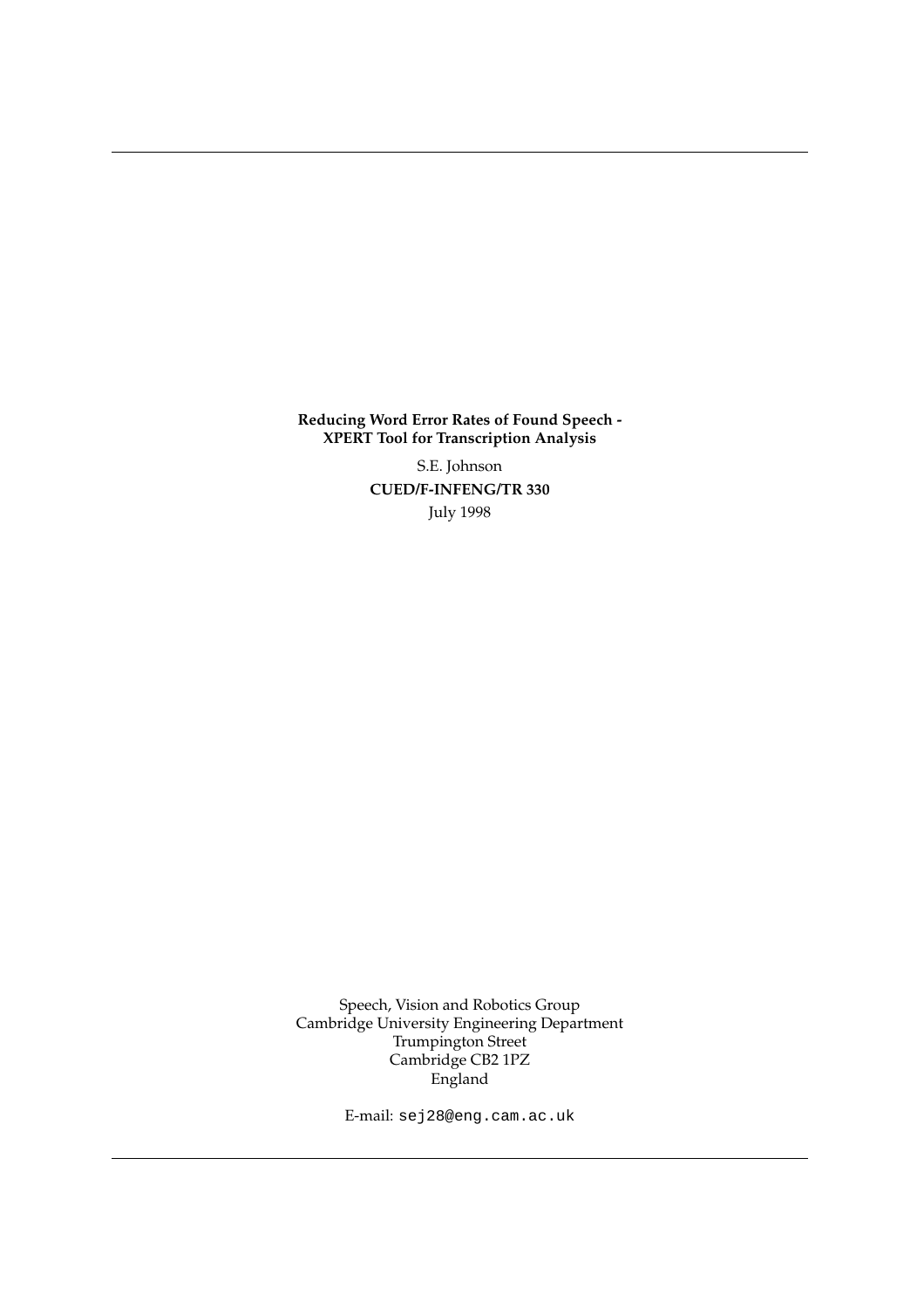**Reducing Word Error Rates of Found Speech - XPERT Tool for Transcription Analysis**

> S.E. Johnson **CUED/F-INFENG/TR 330** July 1998

Speech, Vision and Robotics Group Cambridge University Engineering Department Trumpington Street Cambridge CB2 1PZ England

E-mail: sej28@eng.cam.ac.uk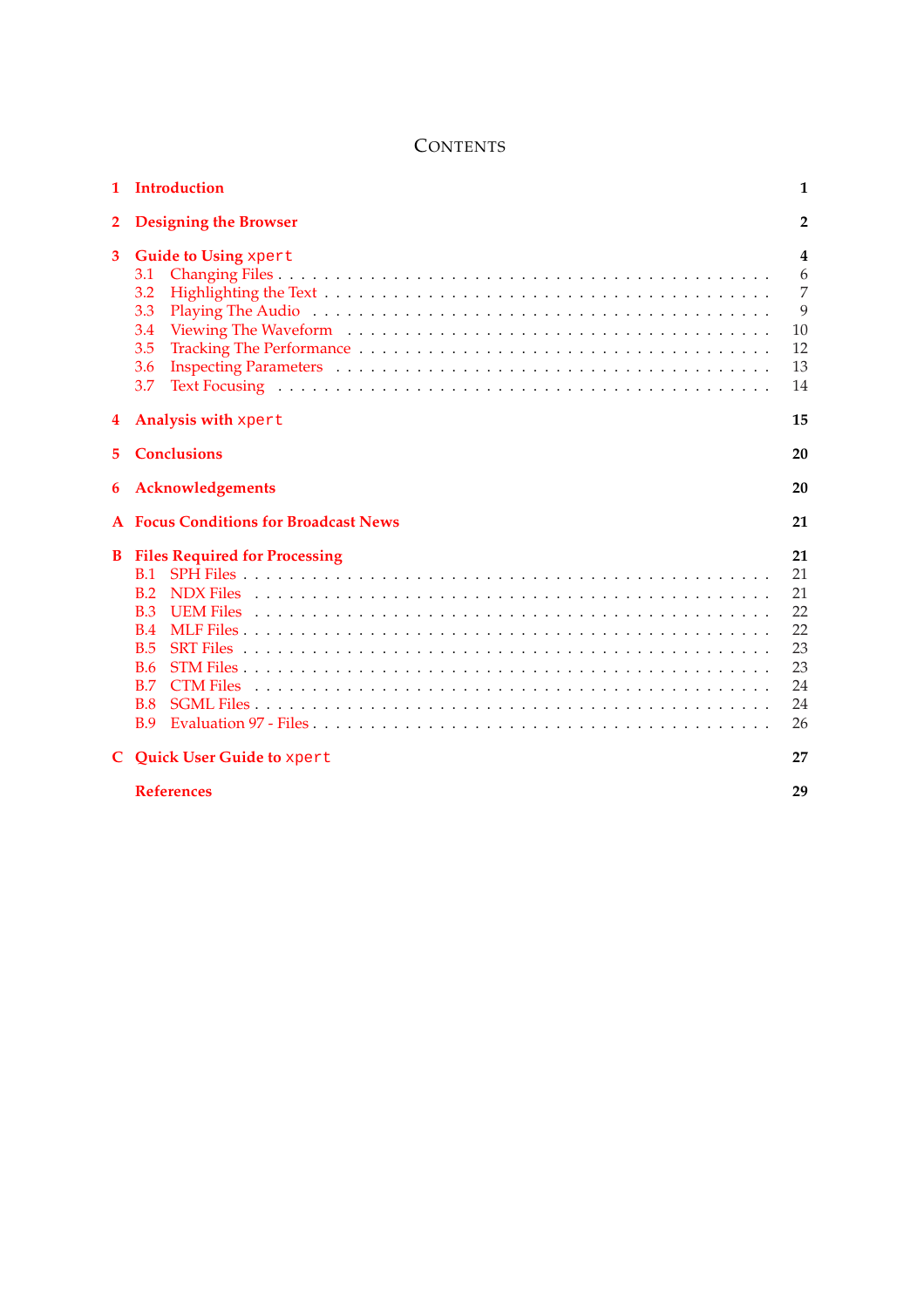# **CONTENTS**

| 1            | Introduction                                                                                                             | 1                                                        |
|--------------|--------------------------------------------------------------------------------------------------------------------------|----------------------------------------------------------|
| $\mathbf{2}$ | <b>Designing the Browser</b>                                                                                             | $\overline{2}$                                           |
| 3            | Guide to Using xpert<br>3.1<br>3.2<br>3.3<br>3.4<br>3.5<br>3.6<br>3.7                                                    | 4<br>6<br>$\overline{7}$<br>9<br>10<br>12<br>13<br>14    |
| 4            | Analysis with xpert                                                                                                      | 15                                                       |
| 5.           | <b>Conclusions</b>                                                                                                       | 20                                                       |
| 6            | Acknowledgements                                                                                                         | 20                                                       |
|              | <b>Focus Conditions for Broadcast News</b>                                                                               | 21                                                       |
| B            | <b>Files Required for Processing</b><br>B.1<br>B.2<br><b>B.3</b><br><b>B.4</b><br>B.5<br>B.6<br>B.7<br>B.8<br><b>B.9</b> | 21<br>21<br>21<br>22<br>22<br>23<br>23<br>24<br>24<br>26 |
| C.           | <b>Quick User Guide to xpert</b>                                                                                         | 27                                                       |
|              | <b>References</b>                                                                                                        | 29                                                       |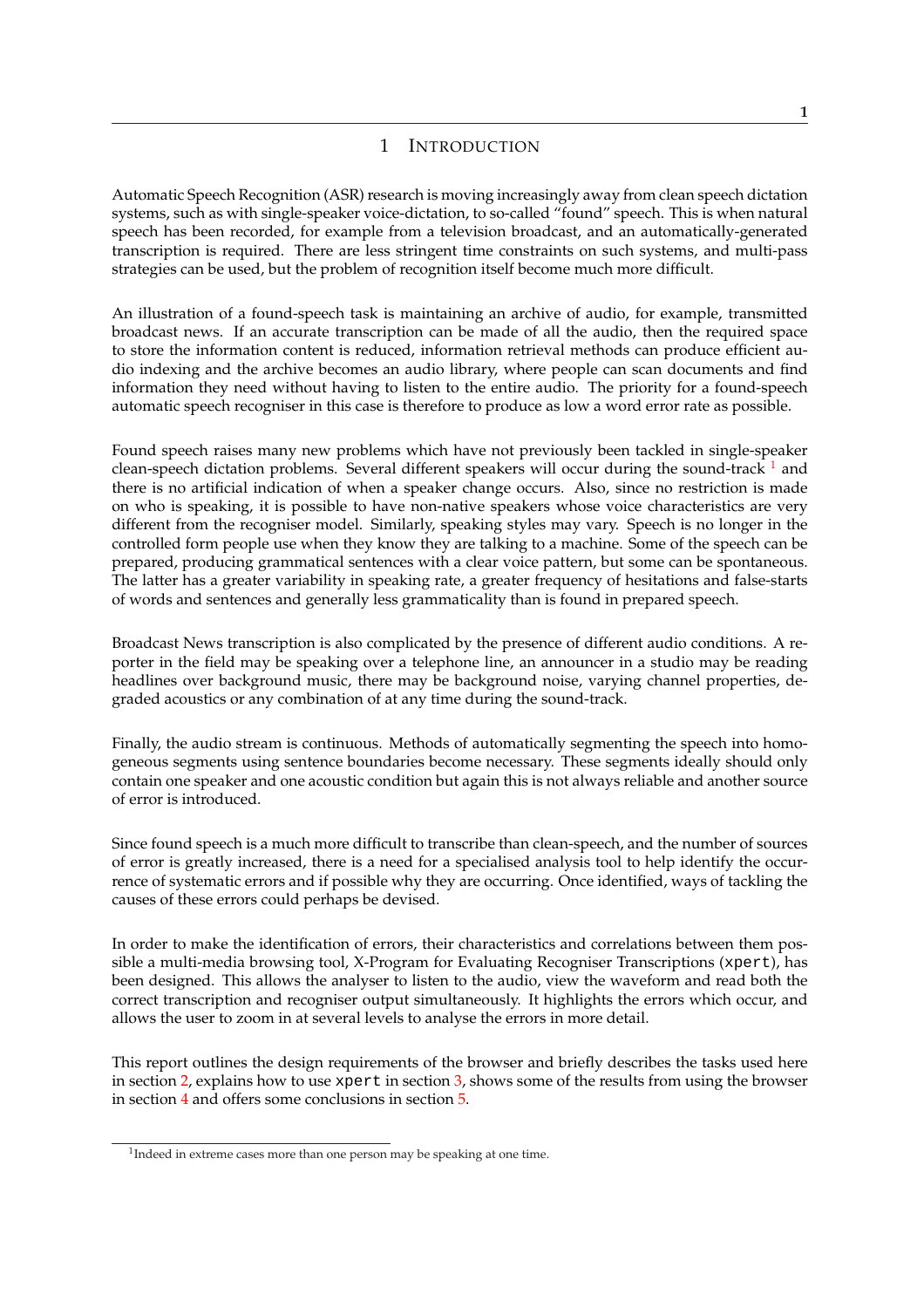## 1 INTRODUCTION

<span id="page-4-0"></span>Automatic Speech Recognition (ASR) research is moving increasingly away from clean speech dictation systems, such as with single-speaker voice-dictation, to so-called "found" speech. This is when natural speech has been recorded, for example from a television broadcast, and an automatically-generated transcription is required. There are less stringent time constraints on such systems, and multi-pass strategies can be used, but the problem of recognition itself become much more difficult.

An illustration of a found-speech task is maintaining an archive of audio, for example, transmitted broadcast news. If an accurate transcription can be made of all the audio, then the required space to store the information content is reduced, information retrieval methods can produce efficient audio indexing and the archive becomes an audio library, where people can scan documents and find information they need without having to listen to the entire audio. The priority for a found-speech automatic speech recogniser in this case is therefore to produce as low a word error rate as possible.

Found speech raises many new problems which have not previously been tackled in single-speaker clean-speech dictation problems. Several different speakers will occur during the sound-track  $<sup>1</sup>$  and</sup> there is no artificial indication of when a speaker change occurs. Also, since no restriction is made on who is speaking, it is possible to have non-native speakers whose voice characteristics are very different from the recogniser model. Similarly, speaking styles may vary. Speech is no longer in the controlled form people use when they know they are talking to a machine. Some of the speech can be prepared, producing grammatical sentences with a clear voice pattern, but some can be spontaneous. The latter has a greater variability in speaking rate, a greater frequency of hesitations and false-starts of words and sentences and generally less grammaticality than is found in prepared speech.

Broadcast News transcription is also complicated by the presence of different audio conditions. A reporter in the field may be speaking over a telephone line, an announcer in a studio may be reading headlines over background music, there may be background noise, varying channel properties, degraded acoustics or any combination of at any time during the sound-track.

Finally, the audio stream is continuous. Methods of automatically segmenting the speech into homogeneous segments using sentence boundaries become necessary. These segments ideally should only contain one speaker and one acoustic condition but again this is not always reliable and another source of error is introduced.

Since found speech is a much more difficult to transcribe than clean-speech, and the number of sources of error is greatly increased, there is a need for a specialised analysis tool to help identify the occurrence of systematic errors and if possible why they are occurring. Once identified, ways of tackling the causes of these errors could perhaps be devised.

In order to make the identification of errors, their characteristics and correlations between them possible a multi-media browsing tool, X-Program for Evaluating Recogniser Transcriptions (xpert), has been designed. This allows the analyser to listen to the audio, view the waveform and read both the correct transcription and recogniser output simultaneously. It highlights the errors which occur, and allows the user to zoom in at several levels to analyse the errors in more detail.

This report outlines the design requirements of the browser and briefly describes the tasks used here in section 2, explains how to use xpert in section 3, shows some of the results from using the browser in section 4 and offers some conclusions in section 5.

<sup>&</sup>lt;sup>1</sup>Indeed [in e](#page-5-0)xtreme cases more than one person may be spe[ak](#page-7-0)ing at one time.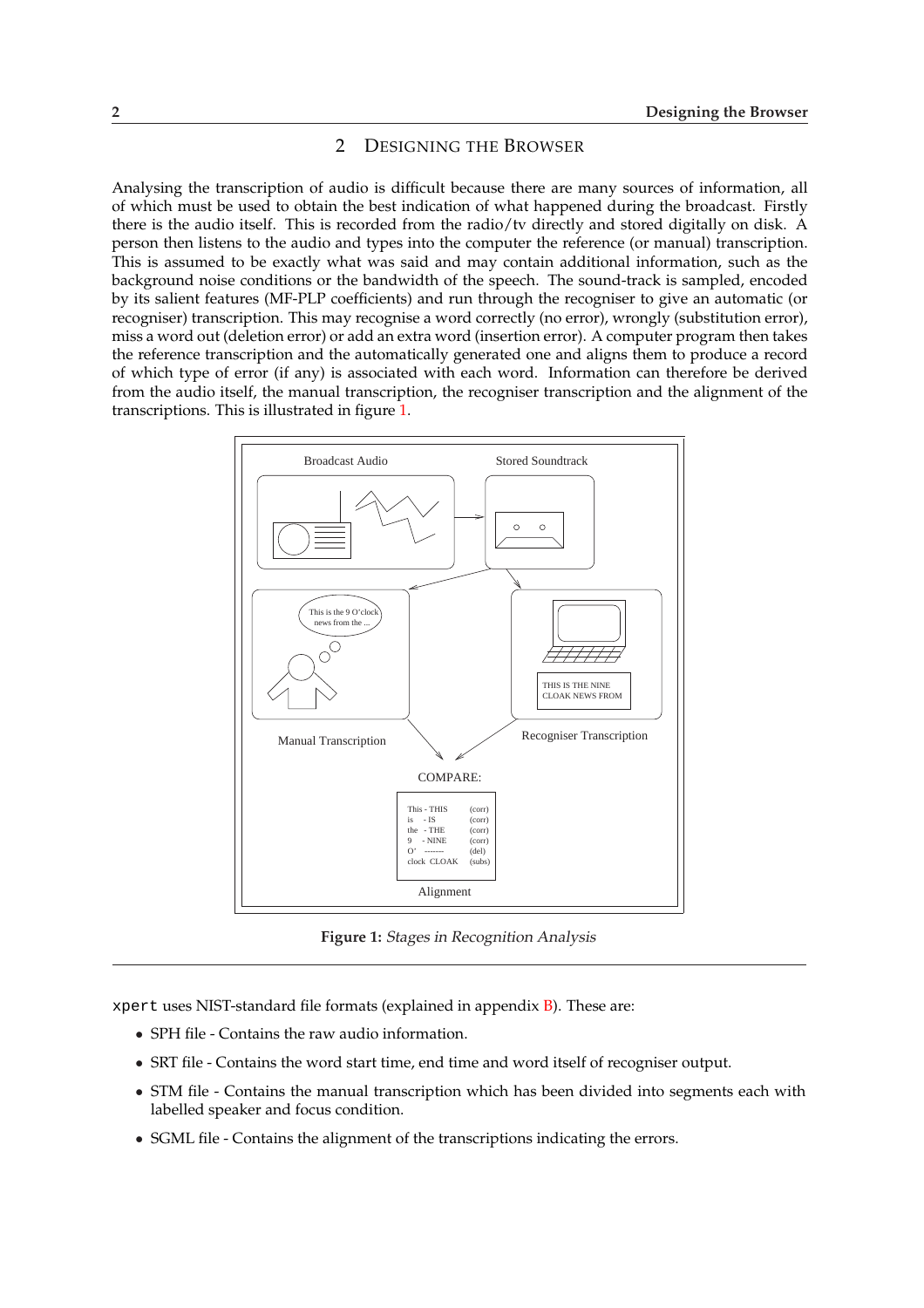### 2 DESIGNING THE BROWSER

<span id="page-5-0"></span>Analysing the transcription of audio is difficult because there are many sources of information, all of which must be used to obtain the best indication of what happened during the broadcast. Firstly there is the audio itself. This is recorded from the radio/tv directly and stored digitally on disk. A person then listens to the audio and types into the computer the reference (or manual) transcription. This is assumed to be exactly what was said and may contain additional information, such as the background noise conditions or the bandwidth of the speech. The sound-track is sampled, encoded by its salient features (MF-PLP coefficients) and run through the recogniser to give an automatic (or recogniser) transcription. This may recognise a word correctly (no error), wrongly (substitution error), miss a word out (deletion error) or add an extra word (insertion error). A computer program then takes the reference transcription and the automatically generated one and aligns them to produce a record of which type of error (if any) is associated with each word. Information can therefore be derived from the audio itself, the manual transcription, the recogniser transcription and the alignment of the transcriptions. This is illustrated in figure 1.



**Figure 1:** Stages in Recognition Analysis

xpert uses NIST-standard file formats (explained in appendix  $B$ ). These are:

- SPH file Contains the raw audio information.
- SRT file Contains the word start time, end time and word itself of recogniser output.
- STM file Contains the manual transcription which has [be](#page-24-0)en divided into segments each with labelled speaker and focus condition.
- SGML file Contains the alignment of the transcriptions indicating the errors.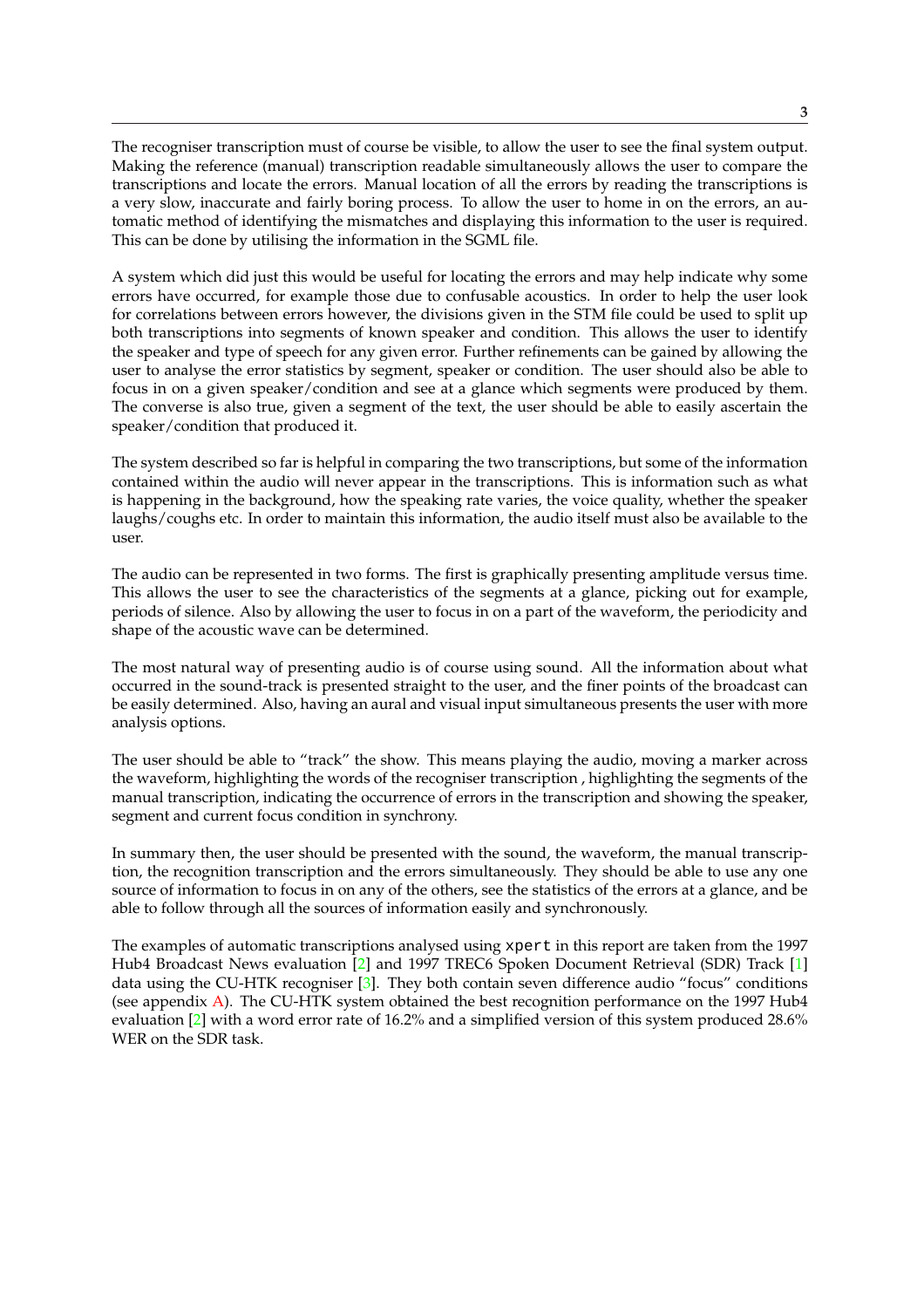The recogniser transcription must of course be visible, to allow the user to see the final system output. Making the reference (manual) transcription readable simultaneously allows the user to compare the transcriptions and locate the errors. Manual location of all the errors by reading the transcriptions is a very slow, inaccurate and fairly boring process. To allow the user to home in on the errors, an automatic method of identifying the mismatches and displaying this information to the user is required. This can be done by utilising the information in the SGML file.

A system which did just this would be useful for locating the errors and may help indicate why some errors have occurred, for example those due to confusable acoustics. In order to help the user look for correlations between errors however, the divisions given in the STM file could be used to split up both transcriptions into segments of known speaker and condition. This allows the user to identify the speaker and type of speech for any given error. Further refinements can be gained by allowing the user to analyse the error statistics by segment, speaker or condition. The user should also be able to focus in on a given speaker/condition and see at a glance which segments were produced by them. The converse is also true, given a segment of the text, the user should be able to easily ascertain the speaker/condition that produced it.

The system described so far is helpful in comparing the two transcriptions, but some of the information contained within the audio will never appear in the transcriptions. This is information such as what is happening in the background, how the speaking rate varies, the voice quality, whether the speaker laughs/coughs etc. In order to maintain this information, the audio itself must also be available to the user.

The audio can be represented in two forms. The first is graphically presenting amplitude versus time. This allows the user to see the characteristics of the segments at a glance, picking out for example, periods of silence. Also by allowing the user to focus in on a part of the waveform, the periodicity and shape of the acoustic wave can be determined.

The most natural way of presenting audio is of course using sound. All the information about what occurred in the sound-track is presented straight to the user, and the finer points of the broadcast can be easily determined. Also, having an aural and visual input simultaneous presents the user with more analysis options.

The user should be able to "track" the show. This means playing the audio, moving a marker across the waveform, highlighting the words of the recogniser transcription , highlighting the segments of the manual transcription, indicating the occurrence of errors in the transcription and showing the speaker, segment and current focus condition in synchrony.

In summary then, the user should be presented with the sound, the waveform, the manual transcription, the recognition transcription and the errors simultaneously. They should be able to use any one source of information to focus in on any of the others, see the statistics of the errors at a glance, and be able to follow through all the sources of information easily and synchronously.

The examples of automatic transcriptions analysed using xpert in this report are taken from the 1997 Hub4 Broadcast News evaluation [2] and 1997 TREC6 Spoken Document Retrieval (SDR) Track [1] data using the CU-HTK recogniser  $\lceil 3 \rceil$ . They both contain seven difference audio "focus" conditions (see appendix A). The CU-HTK system obtained the best recognition performance on the 1997 Hub4 evaluation [2] with a word error rate of 16.2% and a simplified version of this system produced 28.6% WER on the SDR task.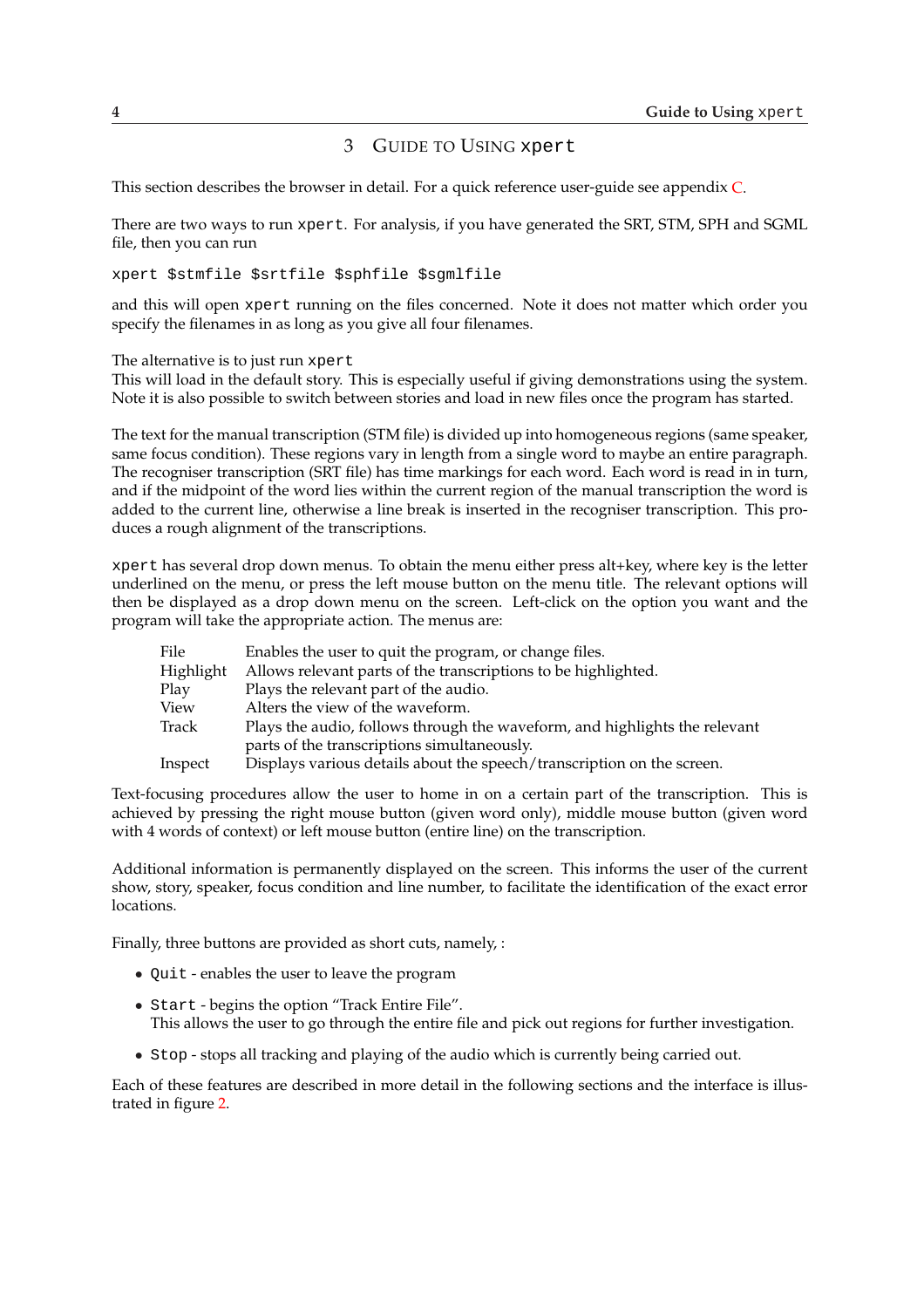## 3 GUIDE TO USING xpert

<span id="page-7-0"></span>This section describes the browser in detail. For a quick reference user-guide see appendix C.

There are two ways to run xpert. For analysis, if you have generated the SRT, STM, SPH and SGML file, then you can run

xpert \$stmfile \$srtfile \$sphfile \$sgmlfile

and this will open xpert running on the files concerned. Note it does not matter which order you specify the filenames in as long as you give all four filenames.

The alternative is to just run xpert

This will load in the default story. This is especially useful if giving demonstrations using the system. Note it is also possible to switch between stories and load in new files once the program has started.

The text for the manual transcription (STM file) is divided up into homogeneous regions (same speaker, same focus condition). These regions vary in length from a single word to maybe an entire paragraph. The recogniser transcription (SRT file) has time markings for each word. Each word is read in in turn, and if the midpoint of the word lies within the current region of the manual transcription the word is added to the current line, otherwise a line break is inserted in the recogniser transcription. This produces a rough alignment of the transcriptions.

xpert has several drop down menus. To obtain the menu either press alt+key, where key is the letter underlined on the menu, or press the left mouse button on the menu title. The relevant options will then be displayed as a drop down menu on the screen. Left-click on the option you want and the program will take the appropriate action. The menus are:

| File      | Enables the user to quit the program, or change files.                     |
|-----------|----------------------------------------------------------------------------|
| Highlight | Allows relevant parts of the transcriptions to be highlighted.             |
| Play      | Plays the relevant part of the audio.                                      |
| View      | Alters the view of the waveform.                                           |
| Track     | Plays the audio, follows through the waveform, and highlights the relevant |
|           | parts of the transcriptions simultaneously.                                |
| Inspect   | Displays various details about the speech/transcription on the screen.     |

Text-focusing procedures allow the user to home in on a certain part of the transcription. This is achieved by pressing the right mouse button (given word only), middle mouse button (given word with 4 words of context) or left mouse button (entire line) on the transcription.

Additional information is permanently displayed on the screen. This informs the user of the current show, story, speaker, focus condition and line number, to facilitate the identification of the exact error locations.

Finally, three buttons are provided as short cuts, namely, :

- Quit enables the user to leave the program
- Start begins the option "Track Entire File". This allows the user to go through the entire file and pick out regions for further investigation.
- Stop stops all tracking and playing of the audio which is currently being carried out.

Each of these features are described in more detail in the following sections and the interface is illustrated in figure 2.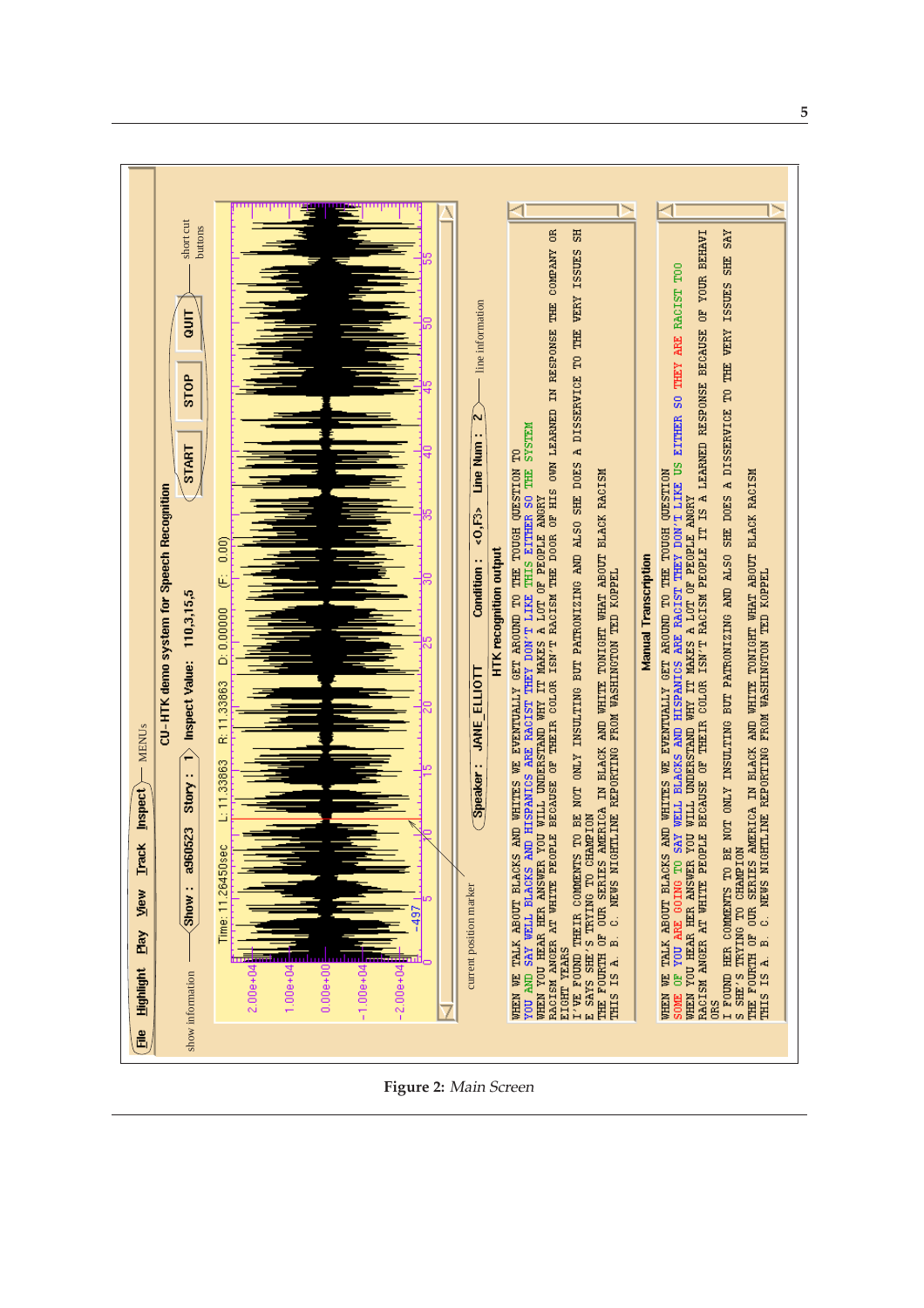

**Figure 2:** Main Screen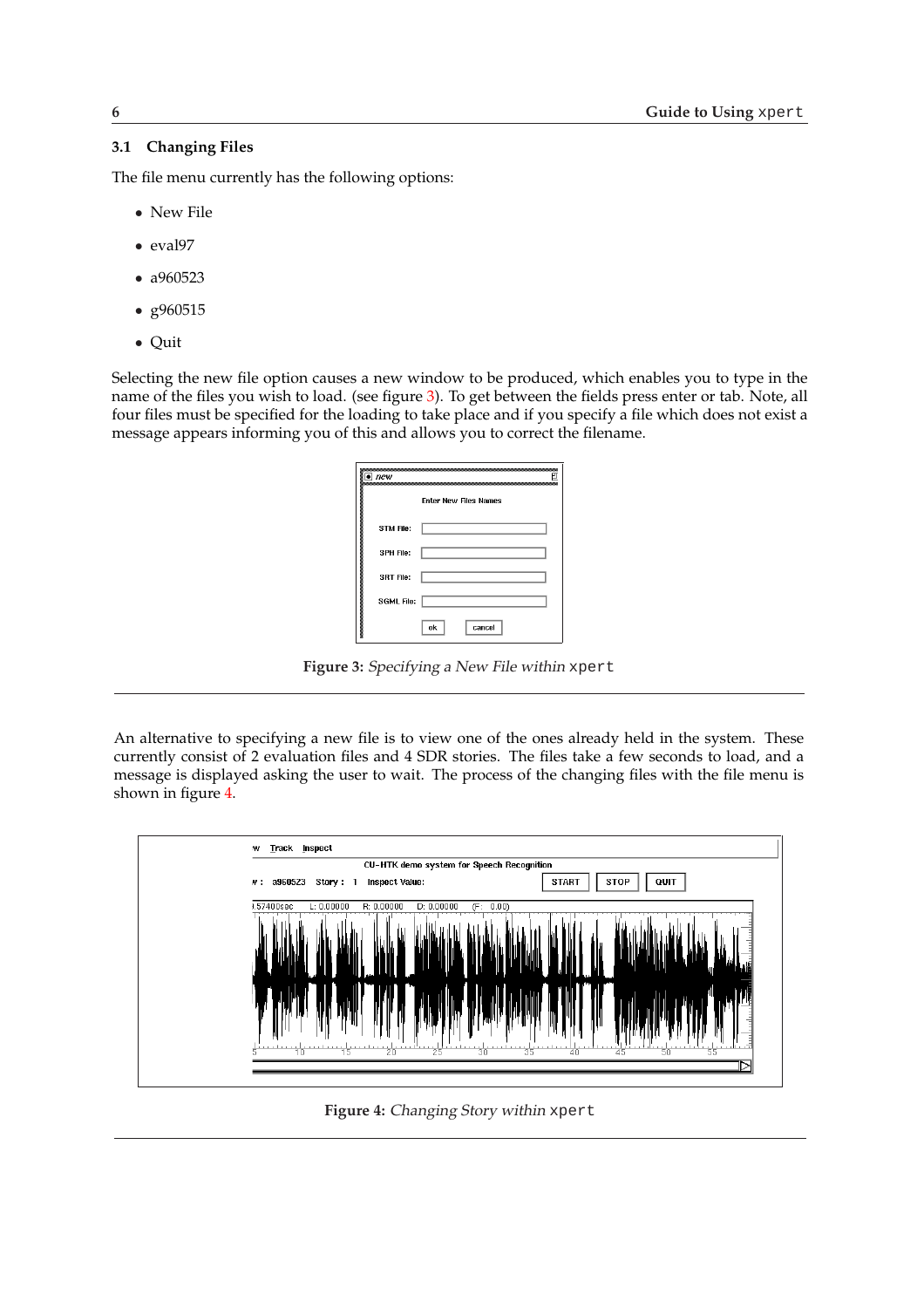## <span id="page-9-0"></span>**3.1 Changing Files**

The file menu currently has the following options:

- New File
- eval97
- a960523
- g960515
- Quit

Selecting the new file option causes a new window to be produced, which enables you to type in the name of the files you wish to load. (see figure 3). To get between the fields press enter or tab. Note, all four files must be specified for the loading to take place and if you specify a file which does not exist a message appears informing you of this and allows you to correct the filename.

| $\bullet$ new         | Ρ                            |
|-----------------------|------------------------------|
|                       | <b>Enter New Files Names</b> |
| l<br>STM File:        |                              |
| <b>SPH File:</b>      |                              |
| <b>SRT File:</b><br>▓ |                              |
| <b>SGML File:</b>     |                              |
|                       | ok<br>cancel                 |

**Figure 3:** Specifying <sup>a</sup> New File within xpert

An alternative to specifying a new file is to view one of the ones already held in the system. These currently consist of 2 evaluation files and 4 SDR stories. The files take a few seconds to load, and a message is displayed asking the user to wait. The process of the changing files with the file menu is shown in figure 4.



**Figure 4:** Changing Story within xpert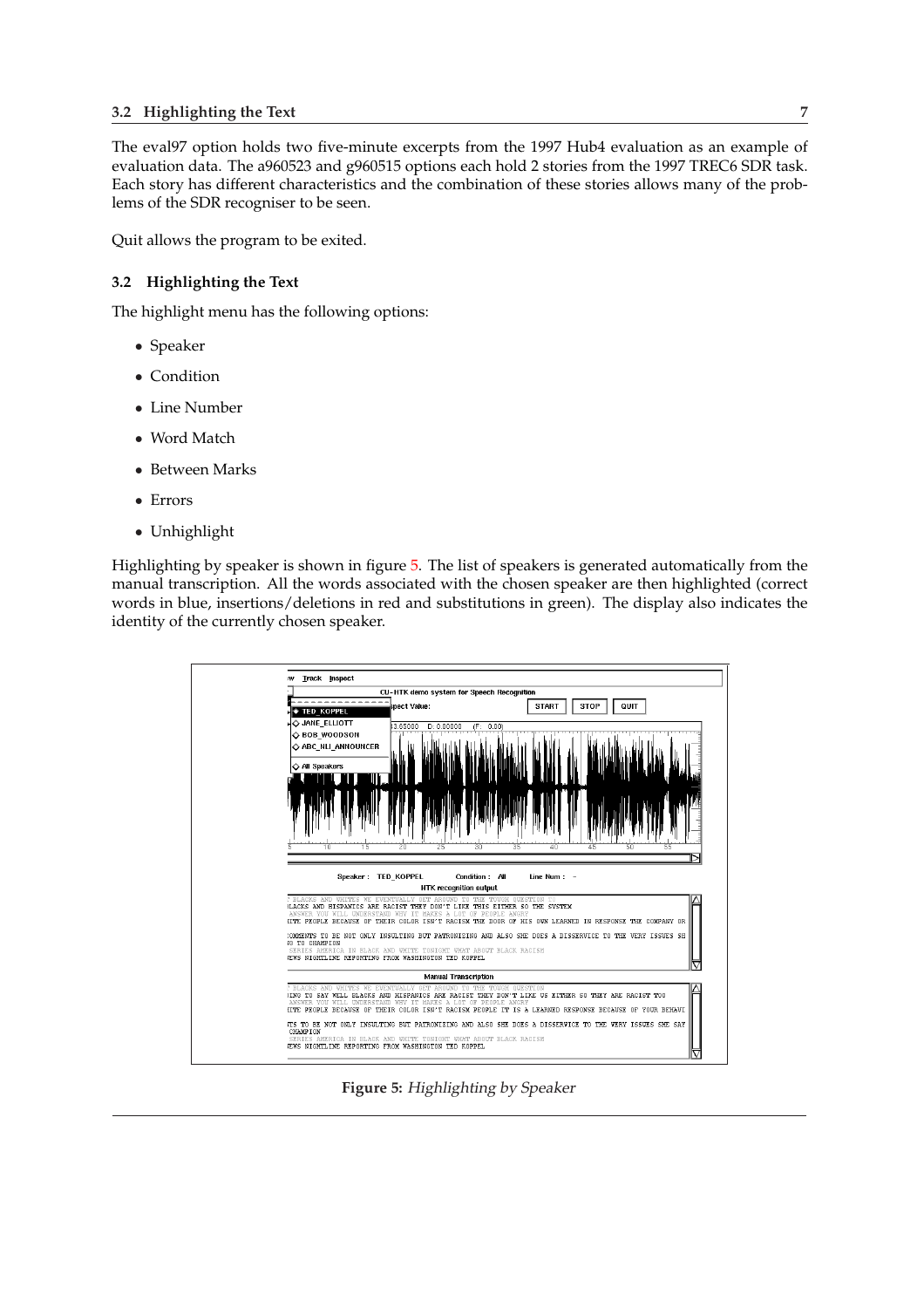### <span id="page-10-0"></span>**3.2 Highlighting the Text 7**

The eval97 option holds two five-minute excerpts from the 1997 Hub4 evaluation as an example of evaluation data. The a960523 and g960515 options each hold 2 stories from the 1997 TREC6 SDR task. Each story has different characteristics and the combination of these stories allows many of the problems of the SDR recogniser to be seen.

Quit allows the program to be exited.

## **3.2 Highlighting the Text**

The highlight menu has the following options:

- Speaker
- Condition
- Line Number
- Word Match
- Between Marks
- Errors
- Unhighlight

Highlighting by speaker is shown in figure 5. The list of speakers is generated automatically from the manual transcription. All the words associated with the chosen speaker are then highlighted (correct words in blue, insertions/deletions in red and substitutions in green). The display also indicates the identity of the currently chosen speaker.



**Figure 5:** Highlighting by Speaker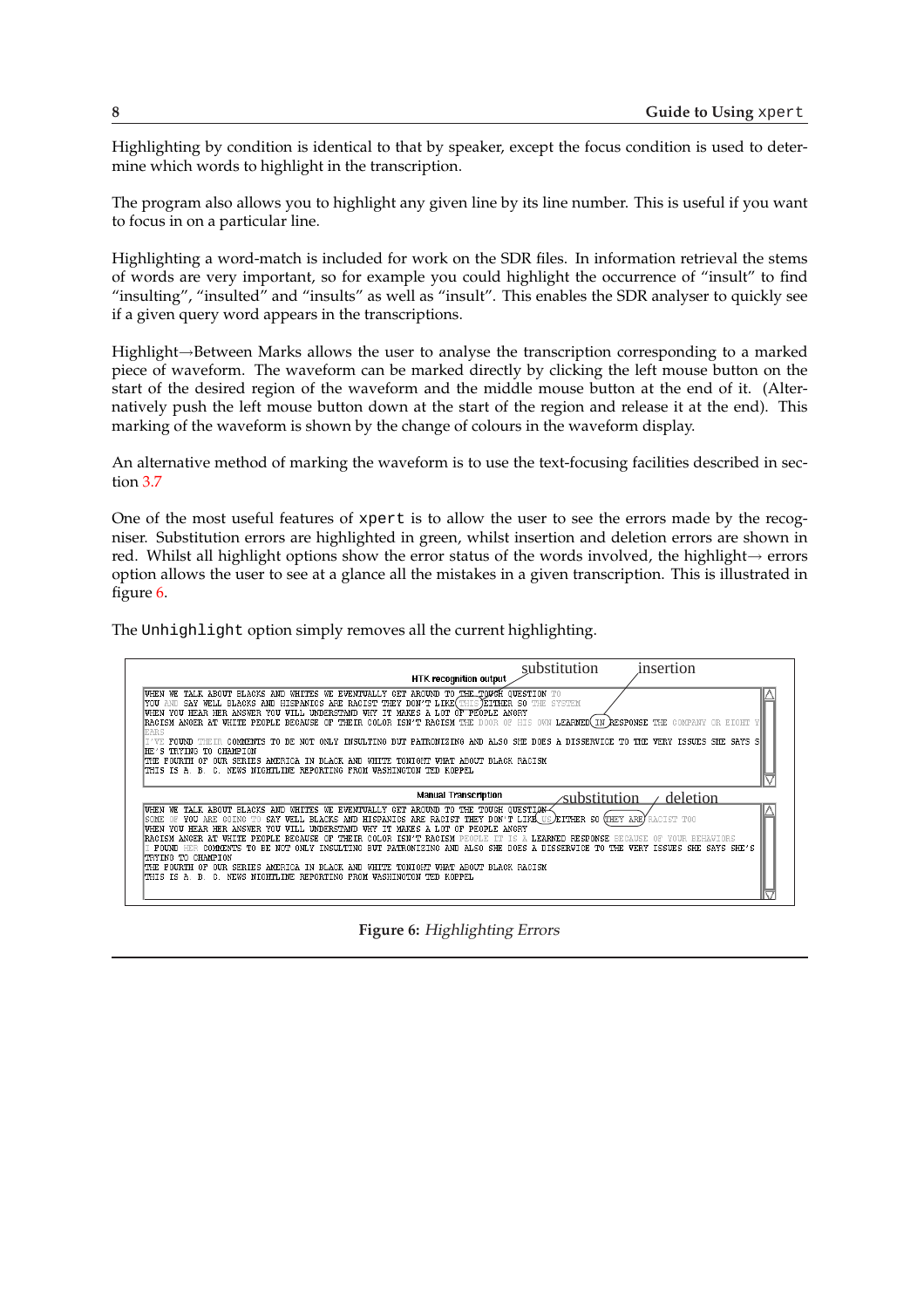Highlighting by condition is identical to that by speaker, except the focus condition is used to determine which words to highlight in the transcription.

The program also allows you to highlight any given line by its line number. This is useful if you want to focus in on a particular line.

Highlighting a word-match is included for work on the SDR files. In information retrieval the stems of words are very important, so for example you could highlight the occurrence of "insult" to find "insulting", "insulted" and "insults" as well as "insult". This enables the SDR analyser to quickly see if a given query word appears in the transcriptions.

Highlight→Between Marks allows the user to analyse the transcription corresponding to a marked piece of waveform. The waveform can be marked directly by clicking the left mouse button on the start of the desired region of the waveform and the middle mouse button at the end of it. (Alternatively push the left mouse button down at the start of the region and release it at the end). This marking of the waveform is shown by the change of colours in the waveform display.

An alternative method of marking the waveform is to use the text-focusing facilities described in section 3.7

One of the most useful features of xpert is to allow the user to see the errors made by the recogniser. Substitution errors are highlighted in green, whilst insertion and deletion errors are shown in red. [Wh](#page-17-0)ilst all highlight options show the error status of the words involved, the highlight $\rightarrow$  errors option allows the user to see at a glance all the mistakes in a given transcription. This is illustrated in figure 6.

The Unhighlight option simply removes all the current highlighting.

| substitution<br>insertion                                                                                                                                                                                                                                                                                                                                                                                                                                                                                                                                                                                                                                                                                                                                                                                                      |
|--------------------------------------------------------------------------------------------------------------------------------------------------------------------------------------------------------------------------------------------------------------------------------------------------------------------------------------------------------------------------------------------------------------------------------------------------------------------------------------------------------------------------------------------------------------------------------------------------------------------------------------------------------------------------------------------------------------------------------------------------------------------------------------------------------------------------------|
| <b>HTK recognition output</b>                                                                                                                                                                                                                                                                                                                                                                                                                                                                                                                                                                                                                                                                                                                                                                                                  |
| TALK ABOUT BLACKS AND WHITES WE EVENTUALLY GET AROUND TO THE TOUGH OUESTION TO<br>WHEN<br>VE<br>SAY WELL BLACKS AND HISPANICS ARE RACIST THEY DON'T LIKE(THIS TEITHER SO THE SYSTEM<br>YOU.<br>AND.<br>YOU HEAR HER ANSWER YOU WILL UNDERSTAND WHY IT MAKES A LOT OF PEOPLE ANGRY<br>WHEN<br>LEARNED(IN RESPONSE THE<br>RACISM ANGER AT WHITE PEOPLE BECAUSE OF THEIR COLOR ISN'T RACISM THE<br>- OF<br>HIS OWN<br>OR EIGHT<br>nnnr.<br>EARS                                                                                                                                                                                                                                                                                                                                                                                   |
| THEIR COMMENTS TO BE NOT ONLY INSULTING BUT PATRONIZING AND ALSO SHE DOES A DISSERVICE TO THE VERY ISSUES SHE SAYS S<br>FOUND                                                                                                                                                                                                                                                                                                                                                                                                                                                                                                                                                                                                                                                                                                  |
| TRYING TO CHAMPION<br>'HE'S<br>FOURTH OF<br>OUR SERIES AMERICA IN BLACK AND WHITE TONIGHT WHAT ABOUT BLACK RACISM<br>ITHE.<br>THIS IS A.<br>B.<br>NEWS NIGHTLINE REPORTING FROM WASHINGTON<br>О.<br>TED KOPPEL                                                                                                                                                                                                                                                                                                                                                                                                                                                                                                                                                                                                                 |
| <b>Manual Transcription</b><br>deletion<br>substitution                                                                                                                                                                                                                                                                                                                                                                                                                                                                                                                                                                                                                                                                                                                                                                        |
| WE TALK ABOUT BLACKS AND WHITES WE EVENTUALLY GET AROUND TO THE TOUGH QUESTIQN-<br>WHEN<br>YOU ARE GOING TO SAY WELL BLACKS AND HISPANICS ARE RACIST THEY DON'T LIKE US EITHER SO (THEY ARE)<br>RACIST TOO<br>SOME<br>-OF.<br><b>IMDERSTAND</b><br>WHY TT MAKES A LOT<br>PEOPLE ANGRY<br>HEAR HER ANSWER<br>vou<br>WTLL.<br>nF.<br>WHEN<br>VOIL<br>RACISM ANGER AT WHITE PEOPLE<br>BECAUSE OF<br>THEIR COLOR ISN'T RACISM<br>LEARNED.<br><b>RESPONSE</b><br>ТR<br>COMMENTS TO BE NOT ONLY INSULTING BUT PATRONIZING AND ALSO SHE DOES<br>SHE SAYS SHE'S<br>A DISSERVICE TO<br>ISSUES.<br>FNIMT.<br>THE.<br>TRYING TO CHAMPION<br>TONIGHT WHAT ABOUT BLACK RACISM<br>FOURTH OF<br>OUR SERIES<br>IN BLACK AND WHITE<br>ITHE.<br>AMERICA<br><b>B.</b><br>THIS IS A.<br>NEWS NIGHTLINE REPORTING FROM WASHINGTON TED KOPPEL<br>-0. |

**Figure 6:** Highlighting Errors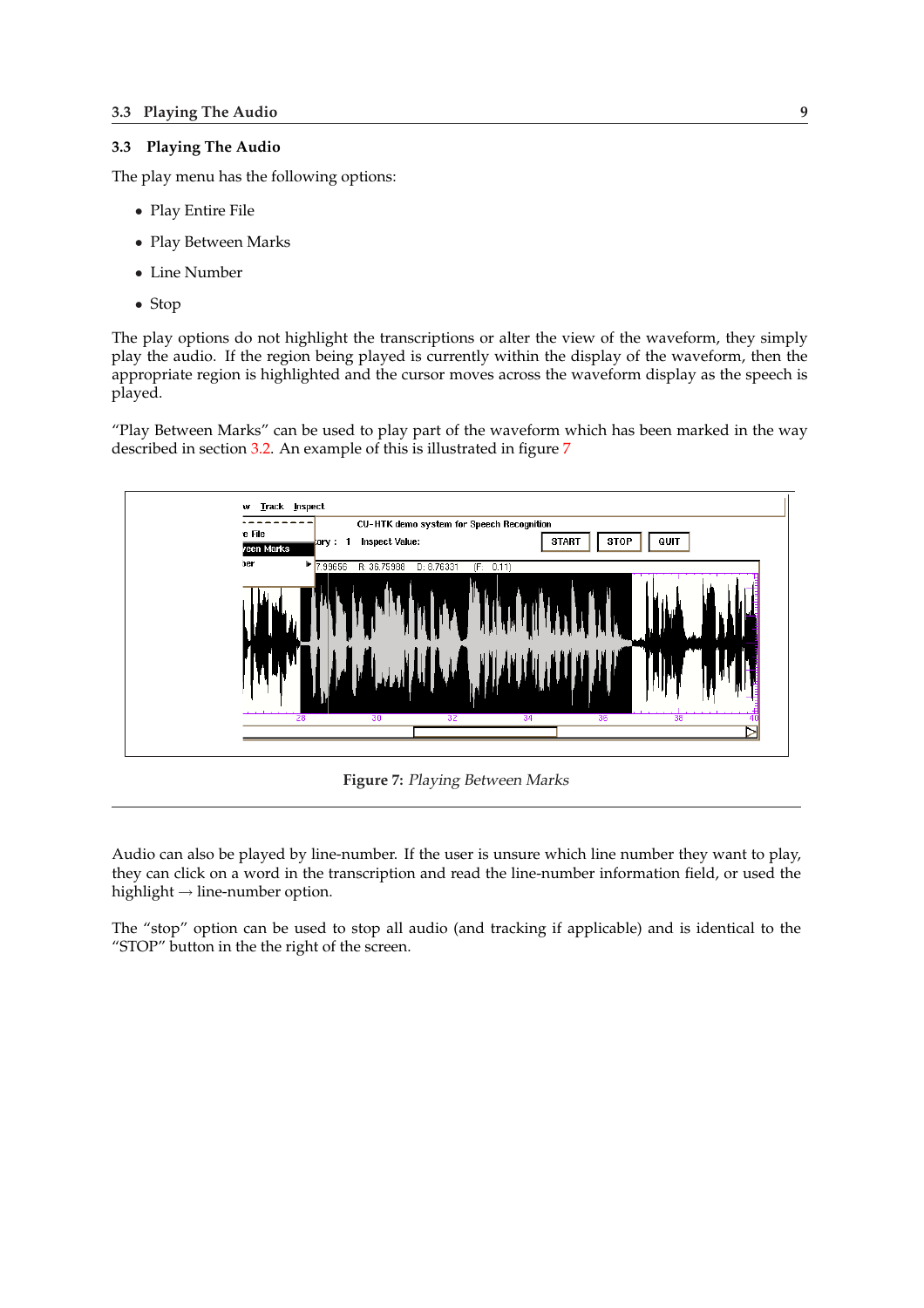## <span id="page-12-0"></span>**3.3 Playing The Audio**

The play menu has the following options:

- Play Entire File
- Play Between Marks
- Line Number
- Stop

The play options do not highlight the transcriptions or alter the view of the waveform, they simply play the audio. If the region being played is currently within the display of the waveform, then the appropriate region is highlighted and the cursor moves across the waveform display as the speech is played.

"Play Between Marks" can be used to play part of the waveform which has been marked in the way described in section 3.2. An example of this is illustrated in figure 7



**Figure 7:** Playing Between Marks

Audio can also be played by line-number. If the user is unsure which line number they want to play, they can click on a word in the transcription and read the line-number information field, or used the highlight  $\rightarrow$  line-number option.

The "stop" option can be used to stop all audio (and tracking if applicable) and is identical to the "STOP" button in the the right of the screen.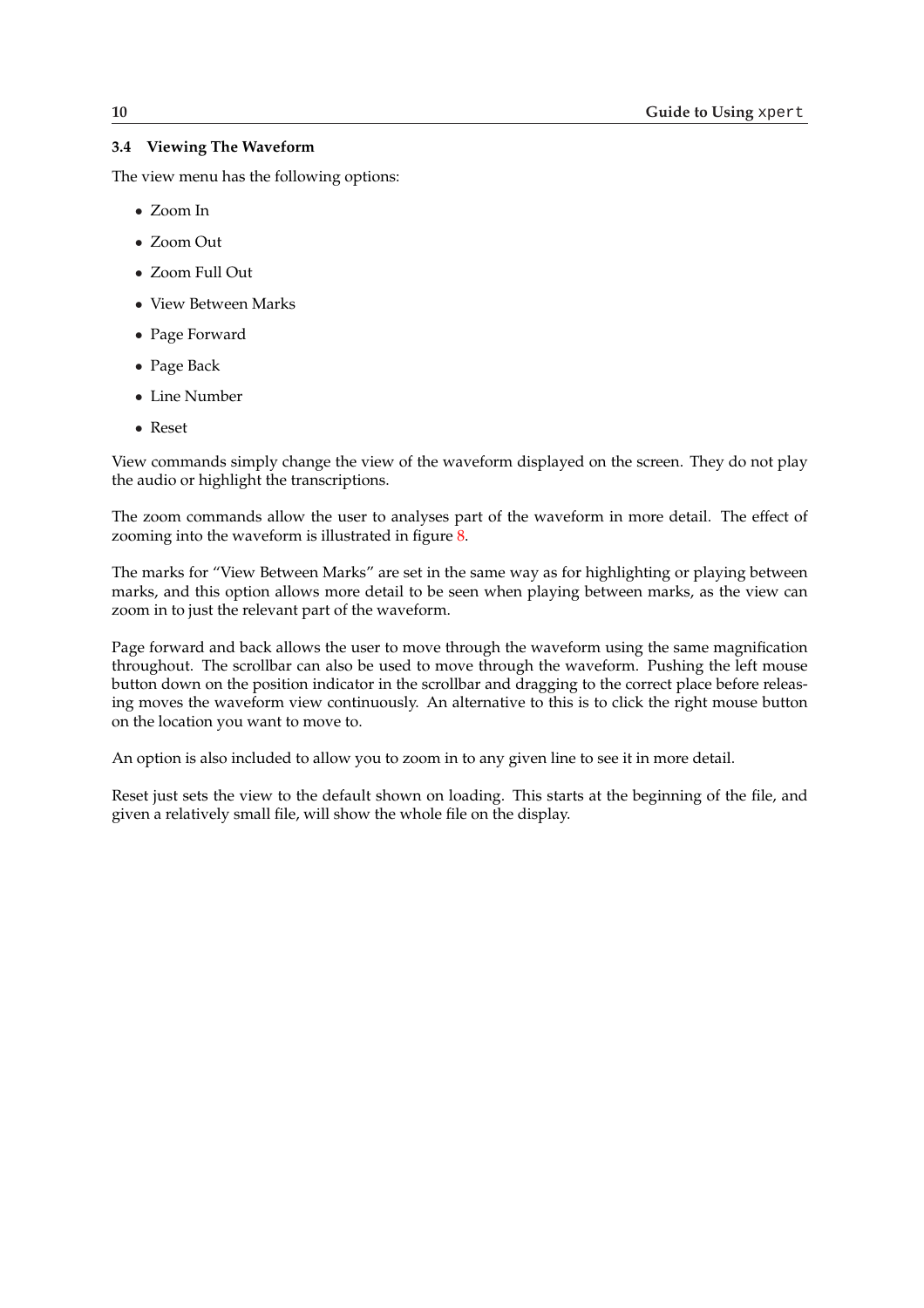## <span id="page-13-0"></span>**3.4 Viewing The Waveform**

The view menu has the following options:

- Zoom In
- Zoom Out
- Zoom Full Out
- View Between Marks
- Page Forward
- Page Back
- Line Number
- Reset

View commands simply change the view of the waveform displayed on the screen. They do not play the audio or highlight the transcriptions.

The zoom commands allow the user to analyses part of the waveform in more detail. The effect of zooming into the waveform is illustrated in figure 8.

The marks for "View Between Marks" are set in the same way as for highlighting or playing between marks, and this option allows more detail to be seen when playing between marks, as the view can zoom in to just the relevant part of the waveform.

Page forward and back allows the user to move through the waveform using the same magnification throughout. The scrollbar can also be used to move through the waveform. Pushing the left mouse button down on the position indicator in the scrollbar and dragging to the correct place before releasing moves the waveform view continuously. An alternative to this is to click the right mouse button on the location you want to move to.

An option is also included to allow you to zoom in to any given line to see it in more detail.

Reset just sets the view to the default shown on loading. This starts at the beginning of the file, and given a relatively small file, will show the whole file on the display.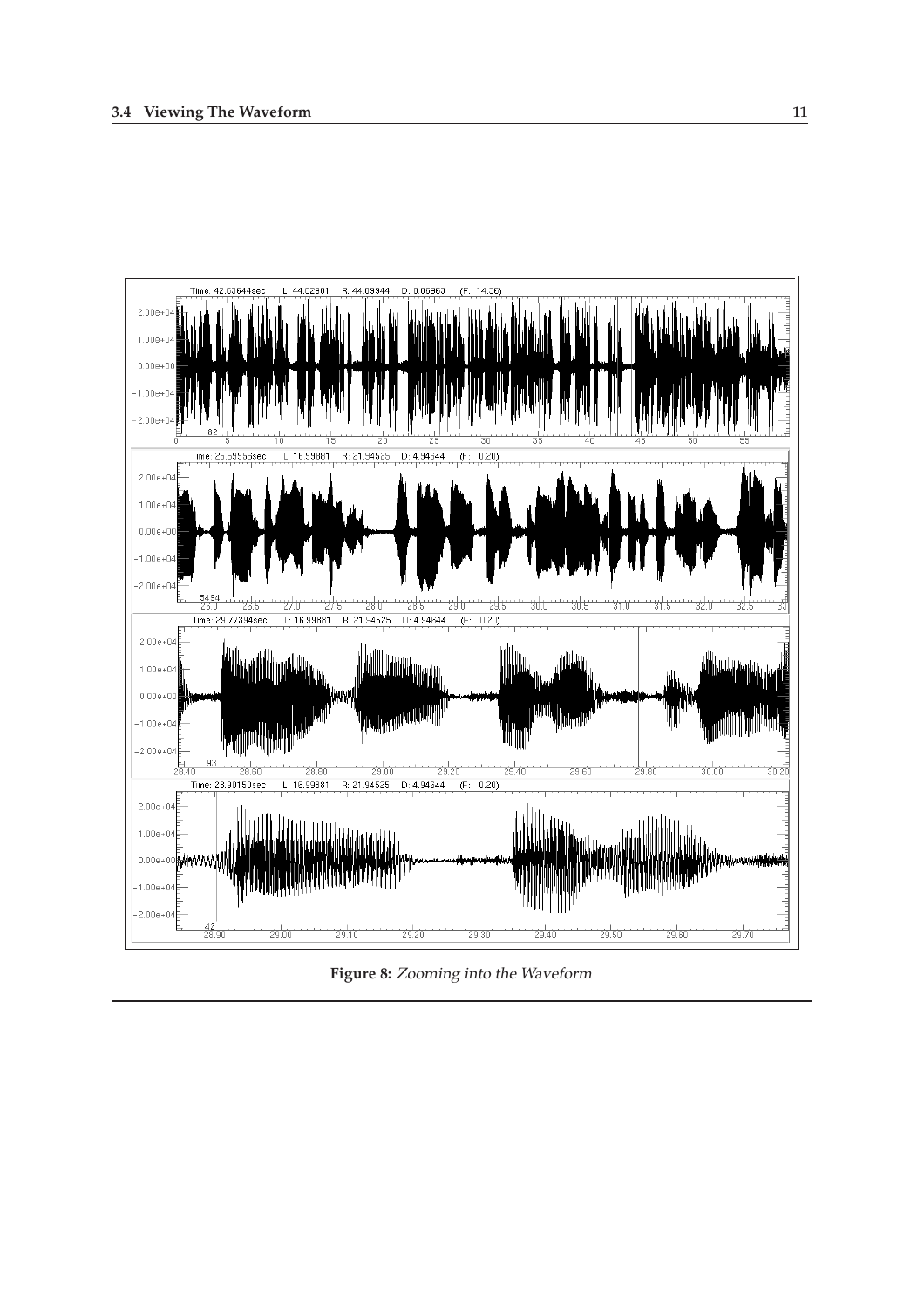

**Figure 8:** Zooming into the Waveform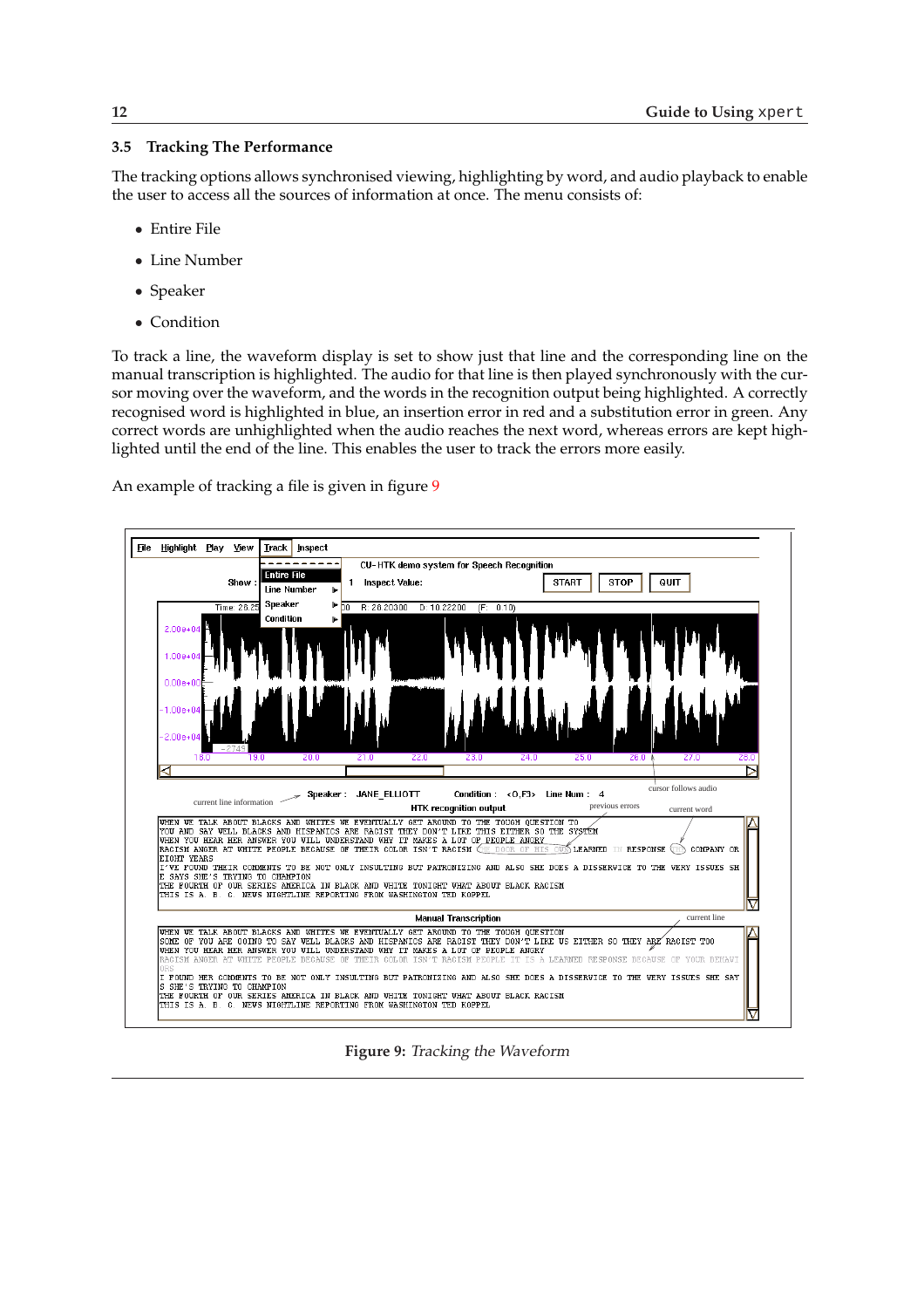## <span id="page-15-0"></span>**3.5 Tracking The Performance**

The tracking options allows synchronised viewing, highlighting by word, and audio playback to enable the user to access all the sources of information at once. The menu consists of:

- Entire File
- Line Number
- Speaker
- Condition

To track a line, the waveform display is set to show just that line and the corresponding line on the manual transcription is highlighted. The audio for that line is then played synchronously with the cursor moving over the waveform, and the words in the recognition output being highlighted. A correctly recognised word is highlighted in blue, an insertion error in red and a substitution error in green. Any correct words are unhighlighted when the audio reaches the next word, whereas errors are kept highlighted until the end of the line. This enables the user to track the errors more easily.

An example of tracking a file is given in figure 9



**Figure 9:** Tracking the Waveform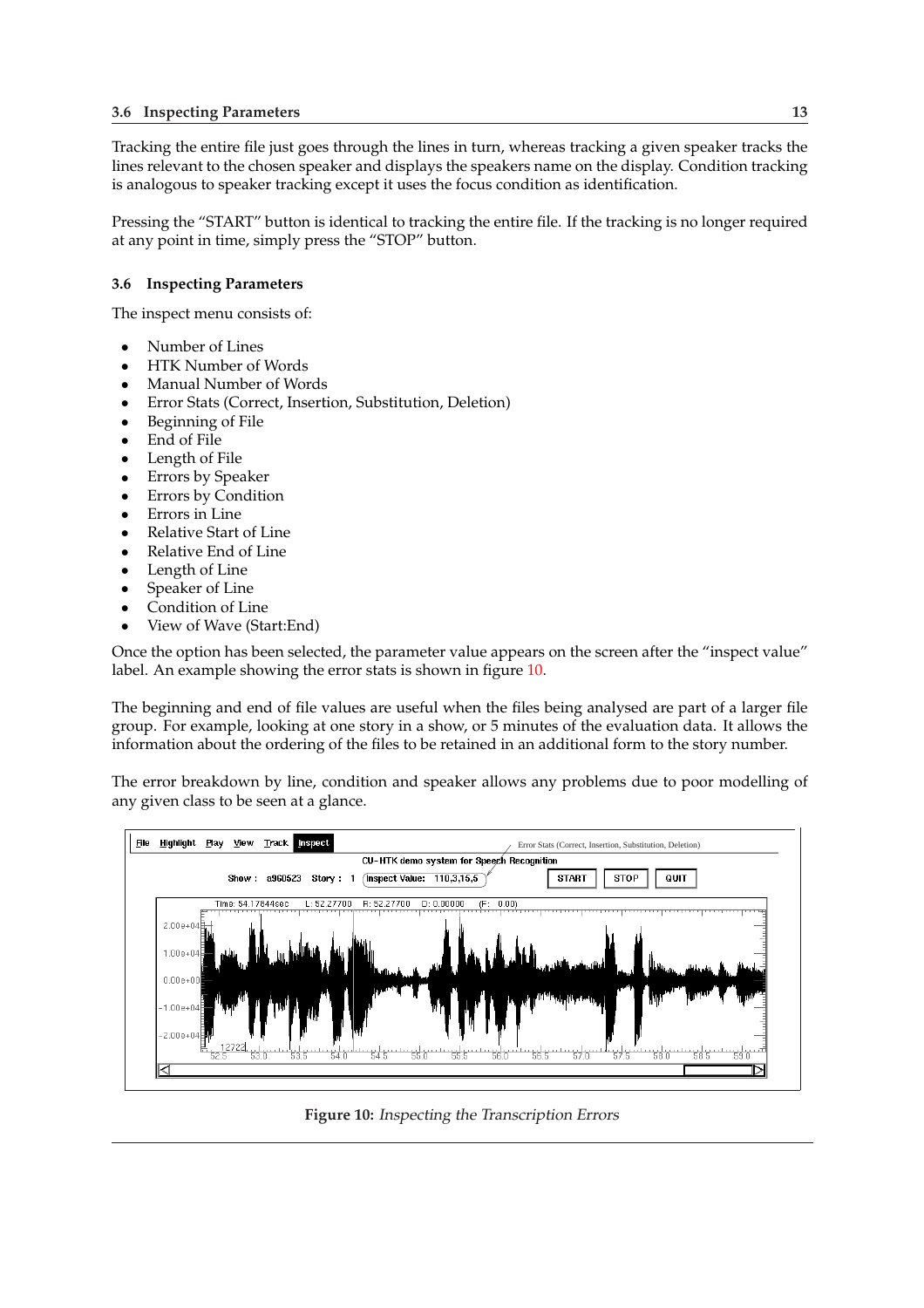<span id="page-16-0"></span>Tracking the entire file just goes through the lines in turn, whereas tracking a given speaker tracks the lines relevant to the chosen speaker and displays the speakers name on the display. Condition tracking is analogous to speaker tracking except it uses the focus condition as identification.

Pressing the "START" button is identical to tracking the entire file. If the tracking is no longer required at any point in time, simply press the "STOP" button.

## **3.6 Inspecting Parameters**

The inspect menu consists of:

- Number of Lines<br>• HTK Number of
- HTK Number of Words
- Manual Number of Words
- Error Stats (Correct, Insertion, Substitution, Deletion)
- Beginning of File<br>• Fnd of File
- End of File
- Length of File<br>• Frrors by Spea
- Errors by Speaker
- Errors by Condition<br>• Errors in Line
- Errors in Line
- Relative Start of Line<br>• Relative End of Line
- Relative End of Line
- Length of Line
- Speaker of Line
- Condition of Line
- View of Wave (Start:End)

Once the option has been selected, the parameter value appears on the screen after the "inspect value" label. An example showing the error stats is shown in figure 10.

The beginning and end of file values are useful when the files being analysed are part of a larger file group. For example, looking at one story in a show, or 5 minutes of the evaluation data. It allows the information about the ordering of the files to be retained in an additional form to the story number.

The error breakdown by line, condition and speaker allows any problems due to poor modelling of any given class to be seen at a glance.



**Figure 10:** Inspecting the Transcription Errors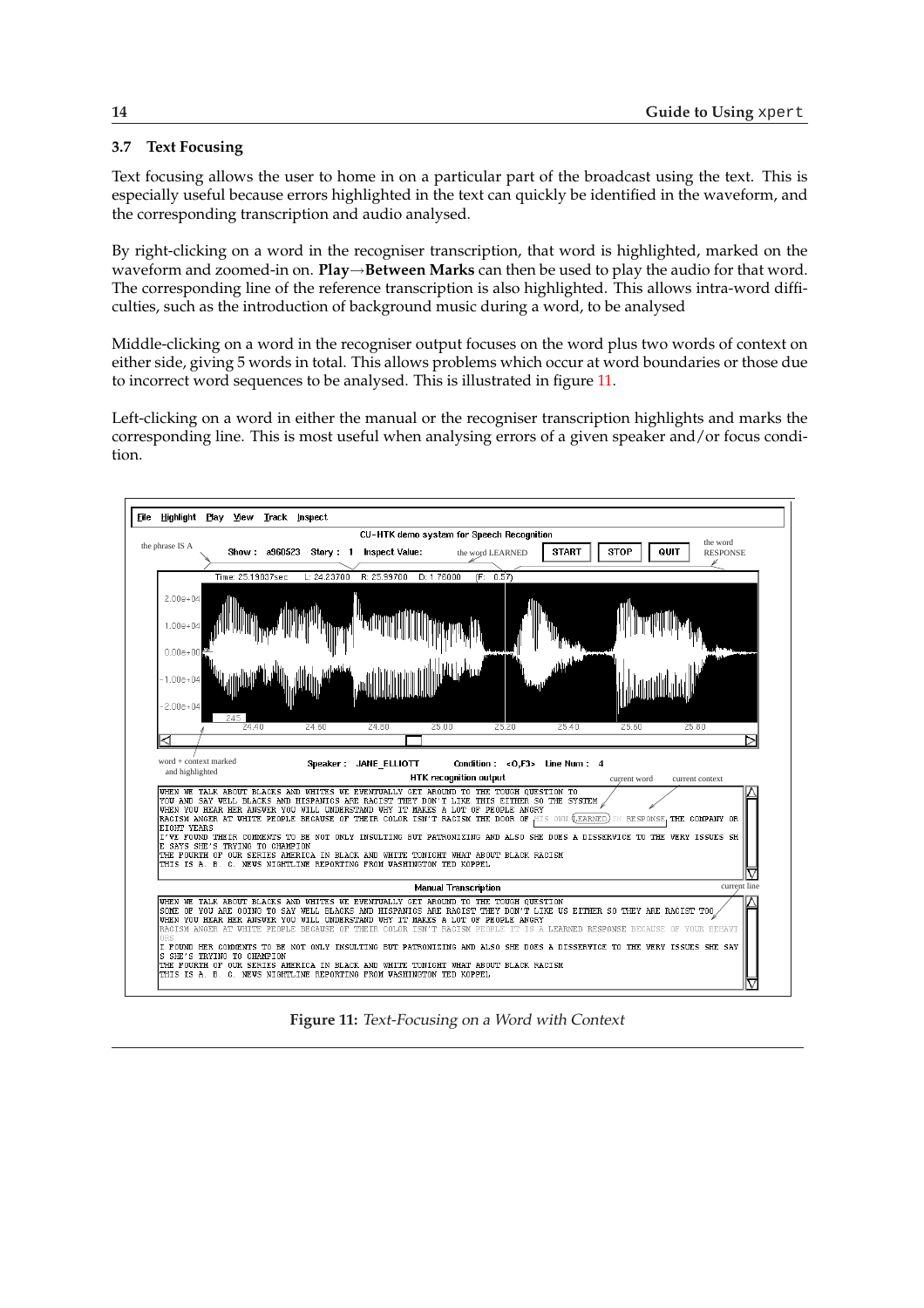## <span id="page-17-0"></span>**3.7 Text Focusing**

Text focusing allows the user to home in on a particular part of the broadcast using the text. This is especially useful because errors highlighted in the text can quickly be identified in the waveform, and the corresponding transcription and audio analysed.

By right-clicking on a word in the recogniser transcription, that word is highlighted, marked on the waveform and zoomed-in on. **Play**→**Between Marks** can then be used to play the audio for that word. The corresponding line of the reference transcription is also highlighted. This allows intra-word difficulties, such as the introduction of background music during a word, to be analysed

Middle-clicking on a word in the recogniser output focuses on the word plus two words of context on either side, giving 5 words in total. This allows problems which occur at word boundaries or those due to incorrect word sequences to be analysed. This is illustrated in figure 11.

Left-clicking on a word in either the manual or the recogniser transcription highlights and marks the corresponding line. This is most useful when analysing errors of a given speaker and/or focus condition.



**Figure 11:** Text-Focusing on <sup>a</sup> Word with Context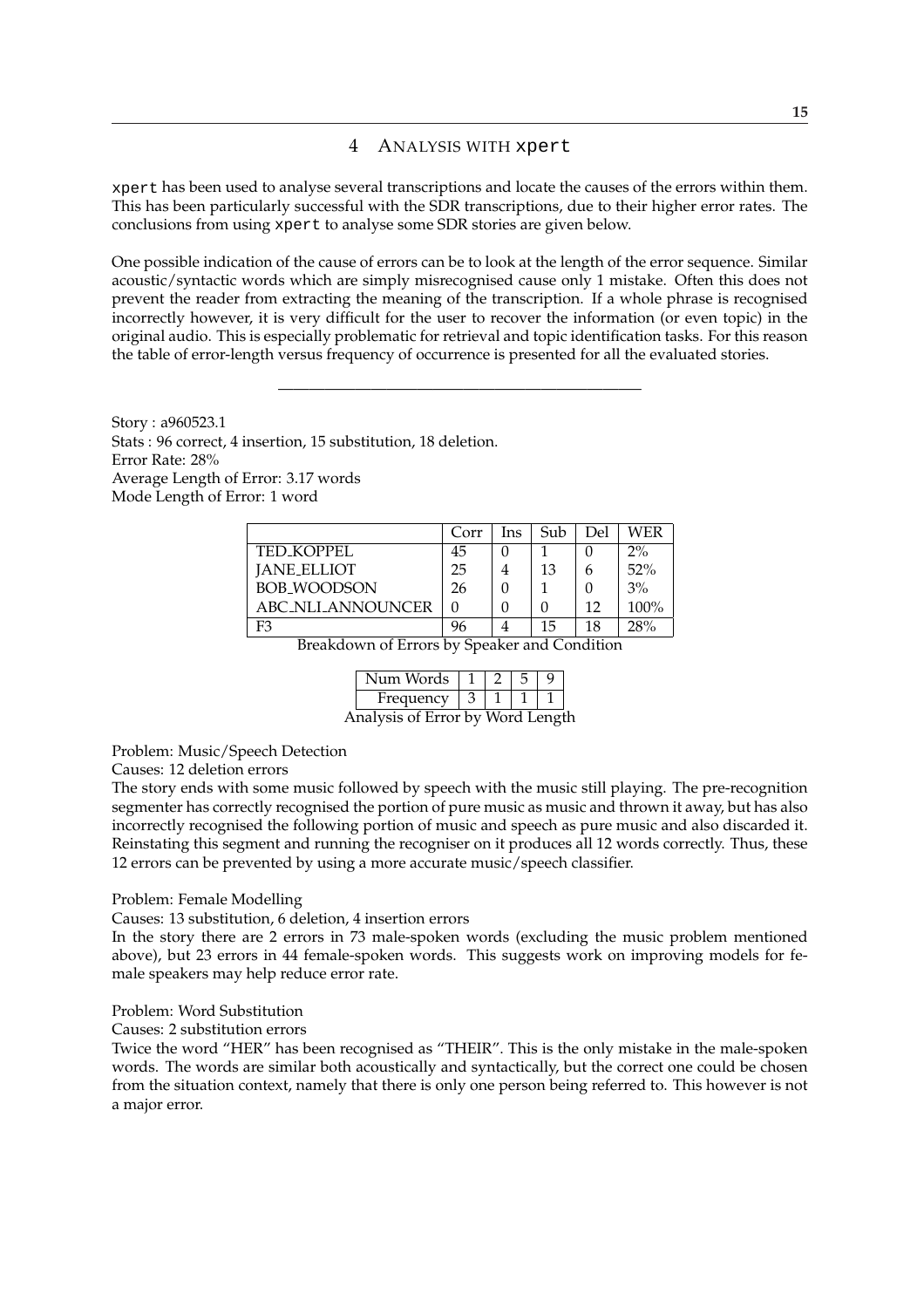## 4 ANALYSIS WITH xpert

<span id="page-18-0"></span>xpert has been used to analyse several transcriptions and locate the causes of the errors within them. This has been particularly successful with the SDR transcriptions, due to their higher error rates. The conclusions from using xpert to analyse some SDR stories are given below.

One possible indication of the cause of errors can be to look at the length of the error sequence. Similar acoustic/syntactic words which are simply misrecognised cause only 1 mistake. Often this does not prevent the reader from extracting the meaning of the transcription. If a whole phrase is recognised incorrectly however, it is very difficult for the user to recover the information (or even topic) in the original audio. This is especially problematic for retrieval and topic identification tasks. For this reason the table of error-length versus frequency of occurrence is presented for all the evaluated stories.

———————————————————————–

Story : a960523.1 Stats : 96 correct, 4 insertion, 15 substitution, 18 deletion. Error Rate: 28% Average Length of Error: 3.17 words Mode Length of Error: 1 word

|                    | Corr | Ins | Sub | Del | WER   |
|--------------------|------|-----|-----|-----|-------|
| TED KOPPEL         | 45   |     |     |     | $2\%$ |
| <b>JANE_ELLIOT</b> | 25   |     | 13  | h   | 52%   |
| <b>BOB WOODSON</b> | 26   |     |     |     | 3%    |
| ABC NLI ANNOUNCER  |      |     |     | 12  | 100%  |
| F3                 | 96   |     | 15  | 18  | 28%   |

Breakdown of Errors by Speaker and Condition

| Num Words                        |  |  |  |
|----------------------------------|--|--|--|
| Frequency                        |  |  |  |
| Analysis of Error by Word Length |  |  |  |

Problem: Music/Speech Detection

Causes: 12 deletion errors

The story ends with some music followed by speech with the music still playing. The pre-recognition segmenter has correctly recognised the portion of pure music as music and thrown it away, but has also incorrectly recognised the following portion of music and speech as pure music and also discarded it. Reinstating this segment and running the recogniser on it produces all 12 words correctly. Thus, these 12 errors can be prevented by using a more accurate music/speech classifier.

### Problem: Female Modelling

Causes: 13 substitution, 6 deletion, 4 insertion errors

In the story there are 2 errors in 73 male-spoken words (excluding the music problem mentioned above), but 23 errors in 44 female-spoken words. This suggests work on improving models for female speakers may help reduce error rate.

## Problem: Word Substitution

Causes: 2 substitution errors

Twice the word "HER" has been recognised as "THEIR". This is the only mistake in the male-spoken words. The words are similar both acoustically and syntactically, but the correct one could be chosen from the situation context, namely that there is only one person being referred to. This however is not a major error.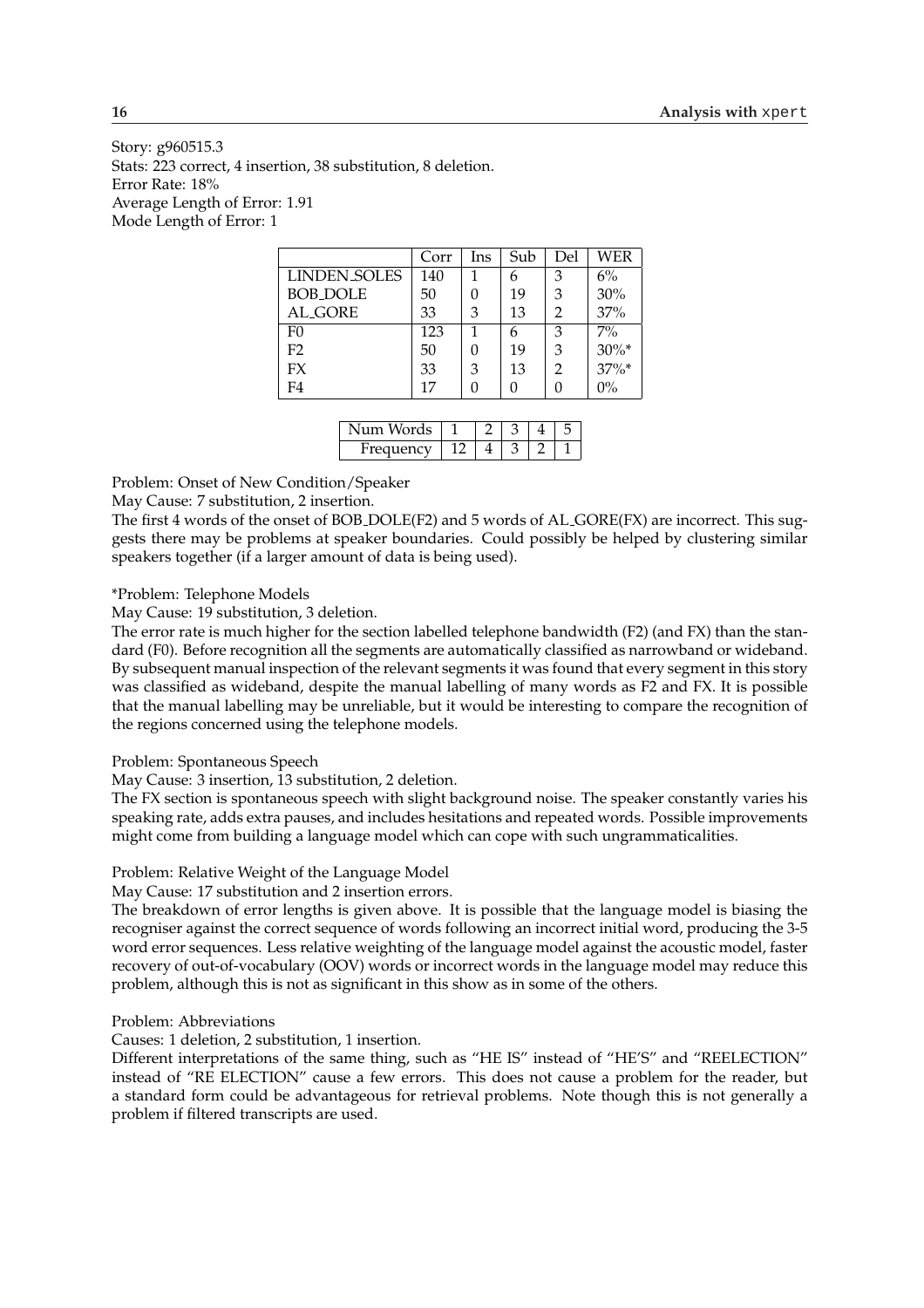Story: g960515.3 Stats: 223 correct, 4 insertion, 38 substitution, 8 deletion. Error Rate: 18% Average Length of Error: 1.91 Mode Length of Error: 1

|                 | Corr | Ins | Sub | Del | WER      |
|-----------------|------|-----|-----|-----|----------|
| LINDEN SOLES    | 140  |     |     | 3   | 6%       |
| <b>BOB_DOLE</b> | 50   |     | 19  | 3   | 30%      |
| <b>AL_GORE</b>  | 33   | 3   | 13  | 2   | 37%      |
| F0              | 123  |     | 6   | 3   | $7\%$    |
| F <sub>2</sub>  | 50   |     | 19  | 3   | $30\%$ * |
| FX              | 33   | 3   | 13  | 2   | $37\%$ * |
| F4              | 17   |     |     |     | $0\%$    |

| ᅯᇬ<br>15      |  |  |  |
|---------------|--|--|--|
| $11 \rho nCV$ |  |  |  |

Problem: Onset of New Condition/Speaker

May Cause: 7 substitution, 2 insertion.

The first 4 words of the onset of BOB DOLE(F2) and 5 words of AL GORE(FX) are incorrect. This suggests there may be problems at speaker boundaries. Could possibly be helped by clustering similar speakers together (if a larger amount of data is being used).

\*Problem: Telephone Models

May Cause: 19 substitution, 3 deletion.

The error rate is much higher for the section labelled telephone bandwidth (F2) (and FX) than the standard (F0). Before recognition all the segments are automatically classified as narrowband or wideband. By subsequent manual inspection of the relevant segments it was found that every segment in this story was classified as wideband, despite the manual labelling of many words as F2 and FX. It is possible that the manual labelling may be unreliable, but it would be interesting to compare the recognition of the regions concerned using the telephone models.

Problem: Spontaneous Speech

May Cause: 3 insertion, 13 substitution, 2 deletion.

The FX section is spontaneous speech with slight background noise. The speaker constantly varies his speaking rate, adds extra pauses, and includes hesitations and repeated words. Possible improvements might come from building a language model which can cope with such ungrammaticalities.

## Problem: Relative Weight of the Language Model

May Cause: 17 substitution and 2 insertion errors.

The breakdown of error lengths is given above. It is possible that the language model is biasing the recogniser against the correct sequence of words following an incorrect initial word, producing the 3-5 word error sequences. Less relative weighting of the language model against the acoustic model, faster recovery of out-of-vocabulary (OOV) words or incorrect words in the language model may reduce this problem, although this is not as significant in this show as in some of the others.

#### Problem: Abbreviations

Causes: 1 deletion, 2 substitution, 1 insertion.

Different interpretations of the same thing, such as "HE IS" instead of "HE'S" and "REELECTION" instead of "RE ELECTION" cause a few errors. This does not cause a problem for the reader, but a standard form could be advantageous for retrieval problems. Note though this is not generally a problem if filtered transcripts are used.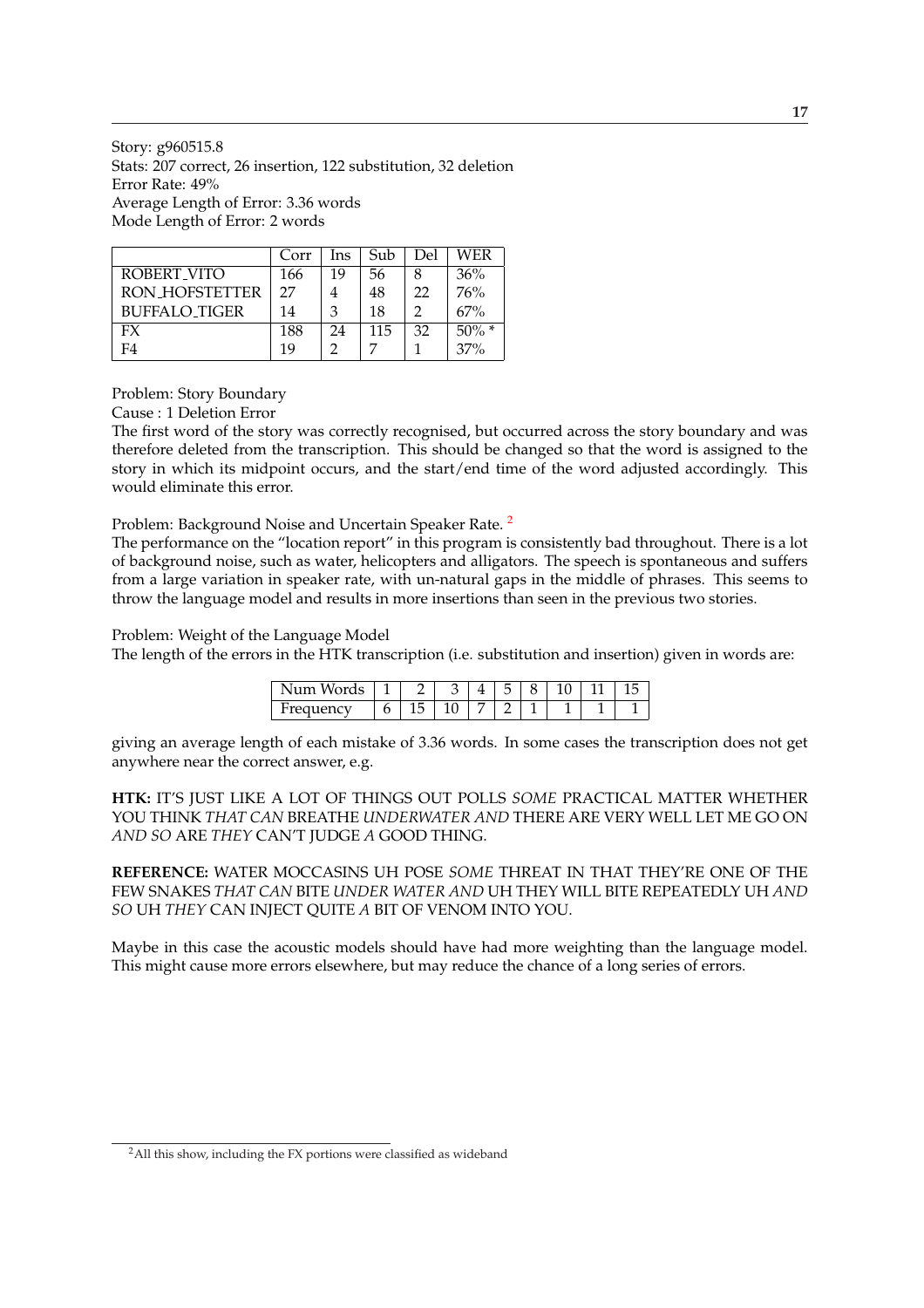Story: g960515.8 Stats: 207 correct, 26 insertion, 122 substitution, 32 deletion Error Rate: 49% Average Length of Error: 3.36 words Mode Length of Error: 2 words

|                      | Corr | Ins | Sub | Del | WER      |
|----------------------|------|-----|-----|-----|----------|
| ROBERT VITO          | 166  | 19  | 56  | 8   | 36%      |
| RON HOFSTETTER       | 27   | 4   | 48  | 22  | 76%      |
| <b>BUFFALO TIGER</b> | 14   | 3   | 18  | ာ   | 67%      |
| FX                   | 188  | 24  | 115 | 32  | $50\%$ * |
| F4                   | 19   |     |     |     | 37%      |

Problem: Story Boundary

Cause : 1 Deletion Error

The first word of the story was correctly recognised, but occurred across the story boundary and was therefore deleted from the transcription. This should be changed so that the word is assigned to the story in which its midpoint occurs, and the start/end time of the word adjusted accordingly. This would eliminate this error.

Problem: Background Noise and Uncertain Speaker Rate.<sup>2</sup>

The performance on the "location report" in this program is consistently bad throughout. There is a lot of background noise, such as water, helicopters and alligators. The speech is spontaneous and suffers from a large variation in speaker rate, with un-natural gaps in the middle of phrases. This seems to throw the language model and results in more insertions than seen in the previous two stories.

### Problem: Weight of the Language Model

The length of the errors in the HTK transcription (i.e. substitution and insertion) given in words are:

| 1 <sub>m</sub><br>$\sqrt{2}$<br>ື |   |  |  |  |  |
|-----------------------------------|---|--|--|--|--|
| roc<br>.                          | ັ |  |  |  |  |

giving an average length of each mistake of 3.36 words. In some cases the transcription does not get anywhere near the correct answer, e.g.

**HTK:** IT'S JUST LIKE A LOT OF THINGS OUT POLLS *SOME* PRACTICAL MATTER WHETHER YOU THINK *THAT CAN* BREATHE *UNDERWATER AND* THERE ARE VERY WELL LET ME GO ON *AND SO* ARE *THEY* CAN'T JUDGE *A* GOOD THING.

**REFERENCE:** WATER MOCCASINS UH POSE *SOME* THREAT IN THAT THEY'RE ONE OF THE FEW SNAKES *THAT CAN* BITE *UNDER WATER AND* UH THEY WILL BITE REPEATEDLY UH *AND SO* UH *THEY* CAN INJECT QUITE *A* BIT OF VENOM INTO YOU.

Maybe in this case the acoustic models should have had more weighting than the language model. This might cause more errors elsewhere, but may reduce the chance of a long series of errors.

<sup>&</sup>lt;sup>2</sup>All this show, including the FX portions were classified as wideband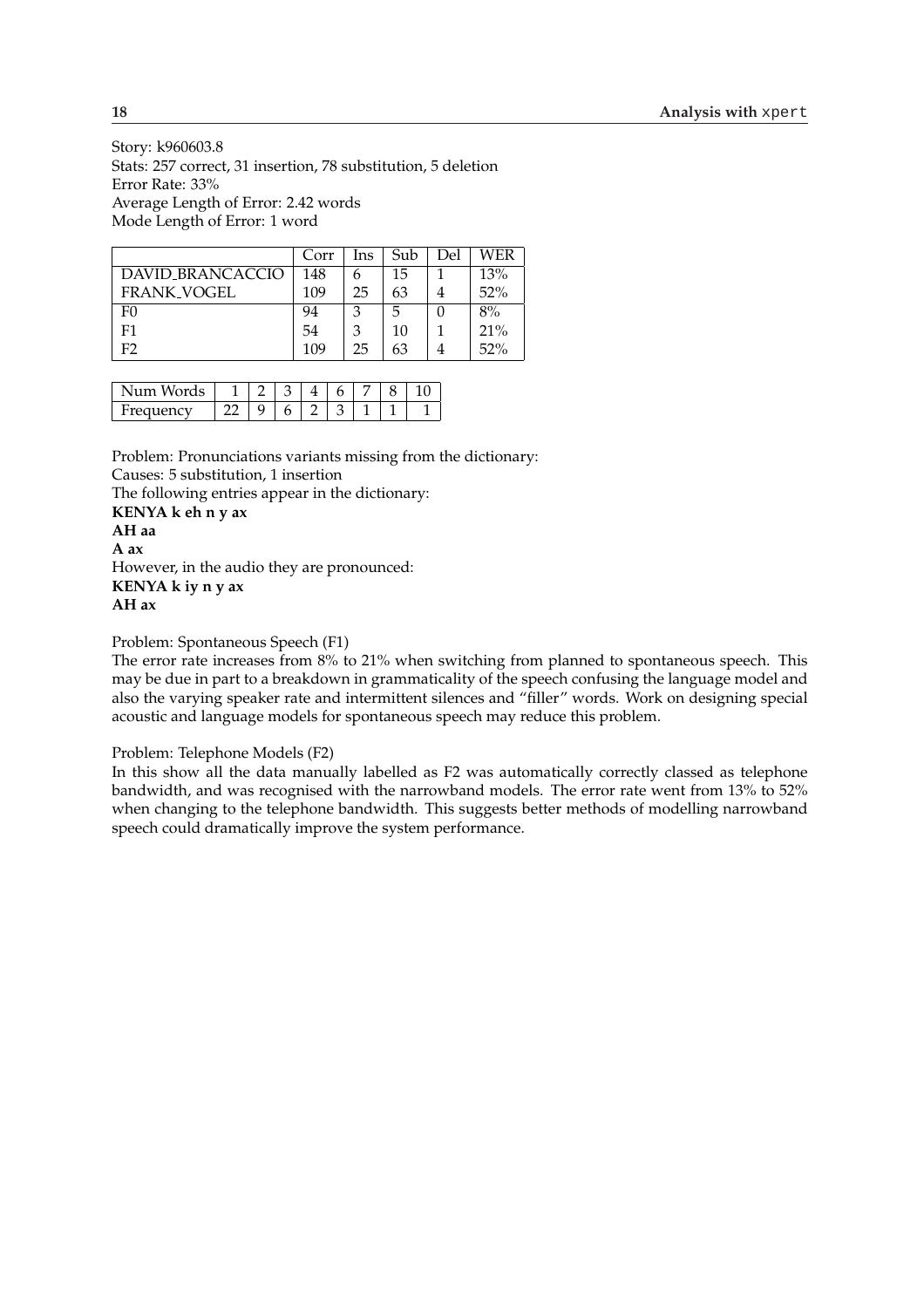Story: k960603.8 Stats: 257 correct, 31 insertion, 78 substitution, 5 deletion Error Rate: 33% Average Length of Error: 2.42 words Mode Length of Error: 1 word

|                    | Corr | Ins | Sub | Del | WER |
|--------------------|------|-----|-----|-----|-----|
| DAVID_BRANCACCIO   | 148  | 6   | 15  |     | 13% |
| <b>FRANK_VOGEL</b> | 109  | 25  | 63  |     | 52% |
| F <sub>0</sub>     | 94   | З   | 5   |     | 8%  |
| F <sub>1</sub>     | 54   | 3   | 10  |     | 21% |
| F2                 | 109  | 25  | 63  |     | 52% |

| 1 с              |  |  |  |  |
|------------------|--|--|--|--|
| 32.037<br>$\sim$ |  |  |  |  |

Problem: Pronunciations variants missing from the dictionary: Causes: 5 substitution, 1 insertion

The following entries appear in the dictionary:

**KENYA k eh n y ax AH aa A ax** However, in the audio they are pronounced: **KENYA k iy n y ax AH ax**

Problem: Spontaneous Speech (F1)

The error rate increases from 8% to 21% when switching from planned to spontaneous speech. This may be due in part to a breakdown in grammaticality of the speech confusing the language model and also the varying speaker rate and intermittent silences and "filler" words. Work on designing special acoustic and language models for spontaneous speech may reduce this problem.

Problem: Telephone Models (F2)

In this show all the data manually labelled as F2 was automatically correctly classed as telephone bandwidth, and was recognised with the narrowband models. The error rate went from 13% to 52% when changing to the telephone bandwidth. This suggests better methods of modelling narrowband speech could dramatically improve the system performance.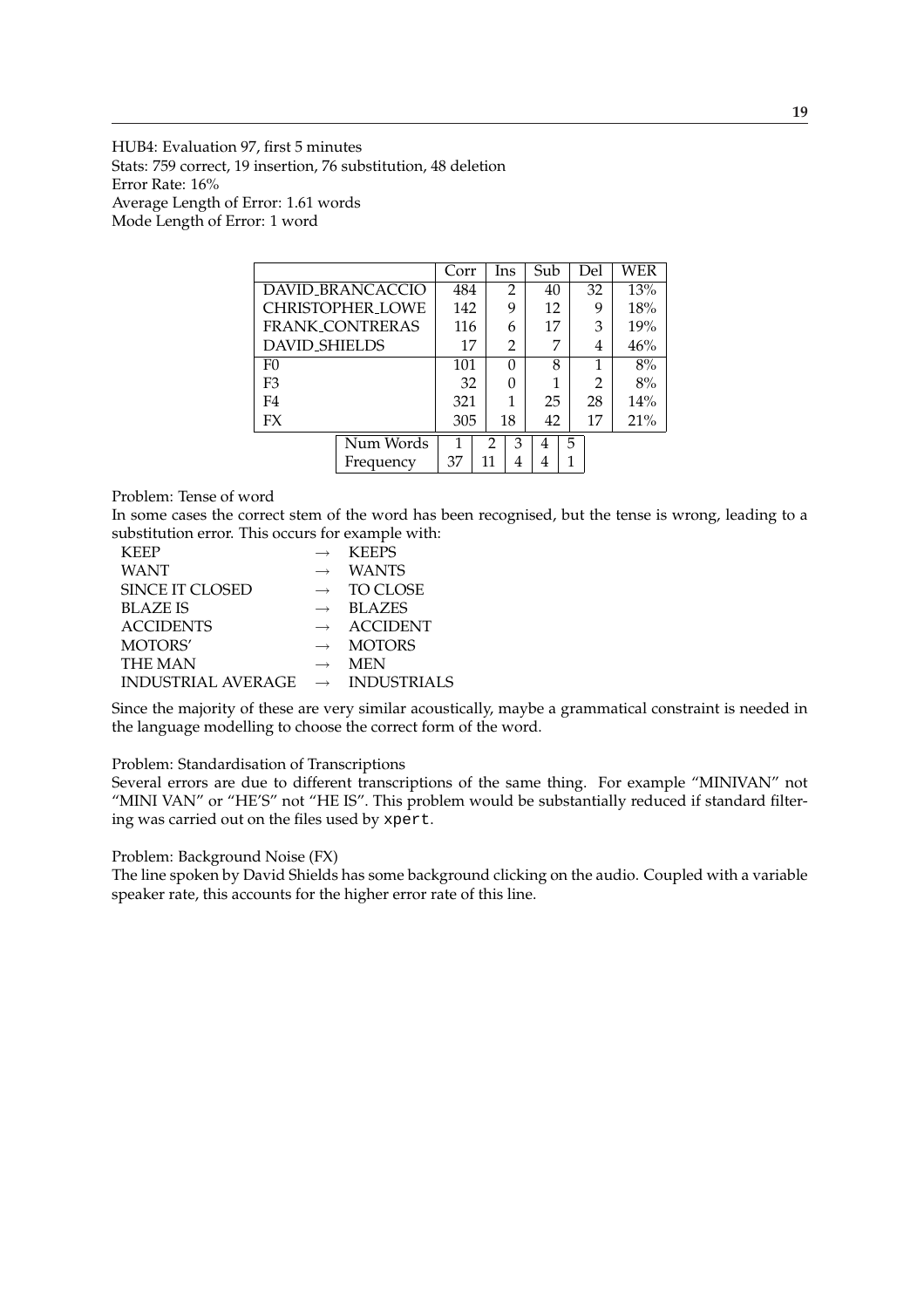HUB4: Evaluation 97, first 5 minutes Stats: 759 correct, 19 insertion, 76 substitution, 48 deletion Error Rate: 16% Average Length of Error: 1.61 words Mode Length of Error: 1 word

|                         | Corr      |          | Ins | Sub |    | Del            | WER |
|-------------------------|-----------|----------|-----|-----|----|----------------|-----|
| DAVID_BRANCACCIO        | 484       |          | 2   | 40  |    | 32             | 13% |
| <b>CHRISTOPHER_LOWE</b> | 142       |          | 9   | 12  |    | 9              | 18% |
| <b>FRANK CONTRERAS</b>  |           | 116<br>6 |     | 17  |    | 3              | 19% |
| <b>DAVID_SHIELDS</b>    | 17        |          | 2   | 7   |    | 4              | 46% |
| F <sub>0</sub>          | 101       |          | 0   | 8   |    | 1              | 8%  |
| F <sub>3</sub>          | 32        |          |     | 1   |    | $\overline{2}$ | 8%  |
| F4                      | 321       |          |     | 25  |    | 28             | 14% |
| FX                      | 305<br>18 |          | 42  |     | 17 | 21%            |     |
| Num Words               |           | 2        | 3   |     | 5  |                |     |
| Frequency               | 37        | 11       | 4   | 4   |    |                |     |

## Problem: Tense of word

In some cases the correct stem of the word has been recognised, but the tense is wrong, leading to a substitution error. This occurs for example with:

| <b>KEEP</b>               |                   | <b>KEEPS</b>       |
|---------------------------|-------------------|--------------------|
| <b>WANT</b>               | $\rightarrow$     | <b>WANTS</b>       |
| SINCE IT CLOSED           | $\longrightarrow$ | <b>TO CLOSE</b>    |
| <b>BLAZE IS</b>           | $\rightarrow$     | <b>BLAZES</b>      |
| <b>ACCIDENTS</b>          | $\rightarrow$     | <b>ACCIDENT</b>    |
| MOTORS'                   | $\rightarrow$     | <b>MOTORS</b>      |
| <b>THE MAN</b>            | $\rightarrow$     | <b>MEN</b>         |
| <b>INDUSTRIAL AVERAGE</b> | $\longrightarrow$ | <b>INDUSTRIALS</b> |
|                           |                   |                    |

Since the majority of these are very similar acoustically, maybe a grammatical constraint is needed in the language modelling to choose the correct form of the word.

#### Problem: Standardisation of Transcriptions

Several errors are due to different transcriptions of the same thing. For example "MINIVAN" not "MINI VAN" or "HE'S" not "HE IS". This problem would be substantially reduced if standard filtering was carried out on the files used by xpert.

### Problem: Background Noise (FX)

The line spoken by David Shields has some background clicking on the audio. Coupled with a variable speaker rate, this accounts for the higher error rate of this line.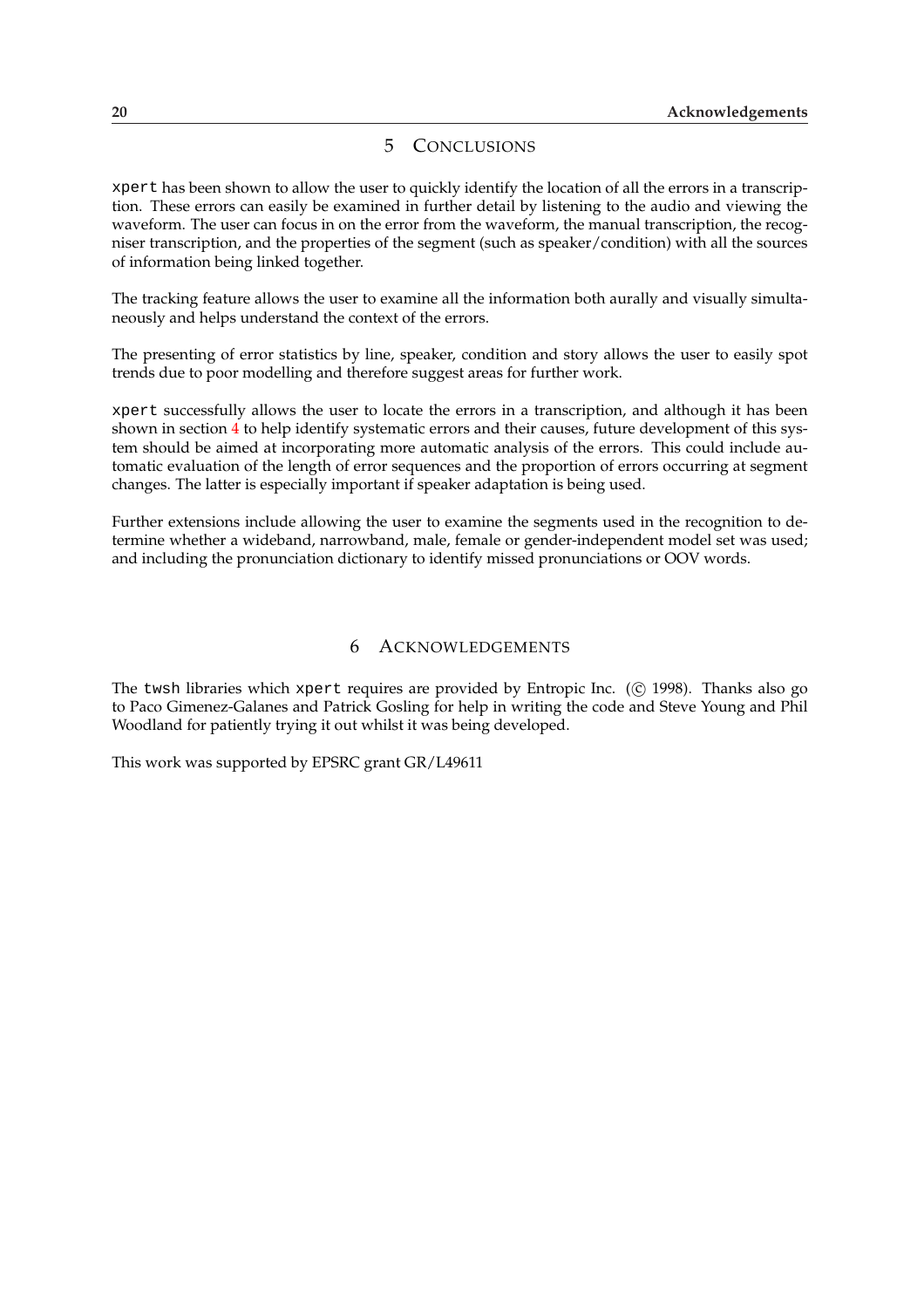## 5 CONCLUSIONS

<span id="page-23-0"></span>xpert has been shown to allow the user to quickly identify the location of all the errors in a transcription. These errors can easily be examined in further detail by listening to the audio and viewing the waveform. The user can focus in on the error from the waveform, the manual transcription, the recogniser transcription, and the properties of the segment (such as speaker/condition) with all the sources of information being linked together.

The tracking feature allows the user to examine all the information both aurally and visually simultaneously and helps understand the context of the errors.

The presenting of error statistics by line, speaker, condition and story allows the user to easily spot trends due to poor modelling and therefore suggest areas for further work.

xpert successfully allows the user to locate the errors in a transcription, and although it has been shown in section 4 to help identify systematic errors and their causes, future development of this system should be aimed at incorporating more automatic analysis of the errors. This could include automatic evaluation of the length of error sequences and the proportion of errors occurring at segment changes. The latter is especially important if speaker adaptation is being used.

Further extensions include allowing the user to examine the segments used in the recognition to determine whether a wideband, narrowband, male, female or gender-independent model set was used; and including the pronunciation dictionary to identify missed pronunciations or OOV words.

### 6 ACKNOWLEDGEMENTS

The twsh libraries which xpert requires are provided by Entropic Inc.  $($  $)$  1998). Thanks also go to Paco Gimenez-Galanes and Patrick Gosling for help in writing the code and Steve Young and Phil Woodland for patiently trying it out whilst it was being developed.

This work was supported by EPSRC grant GR/L49611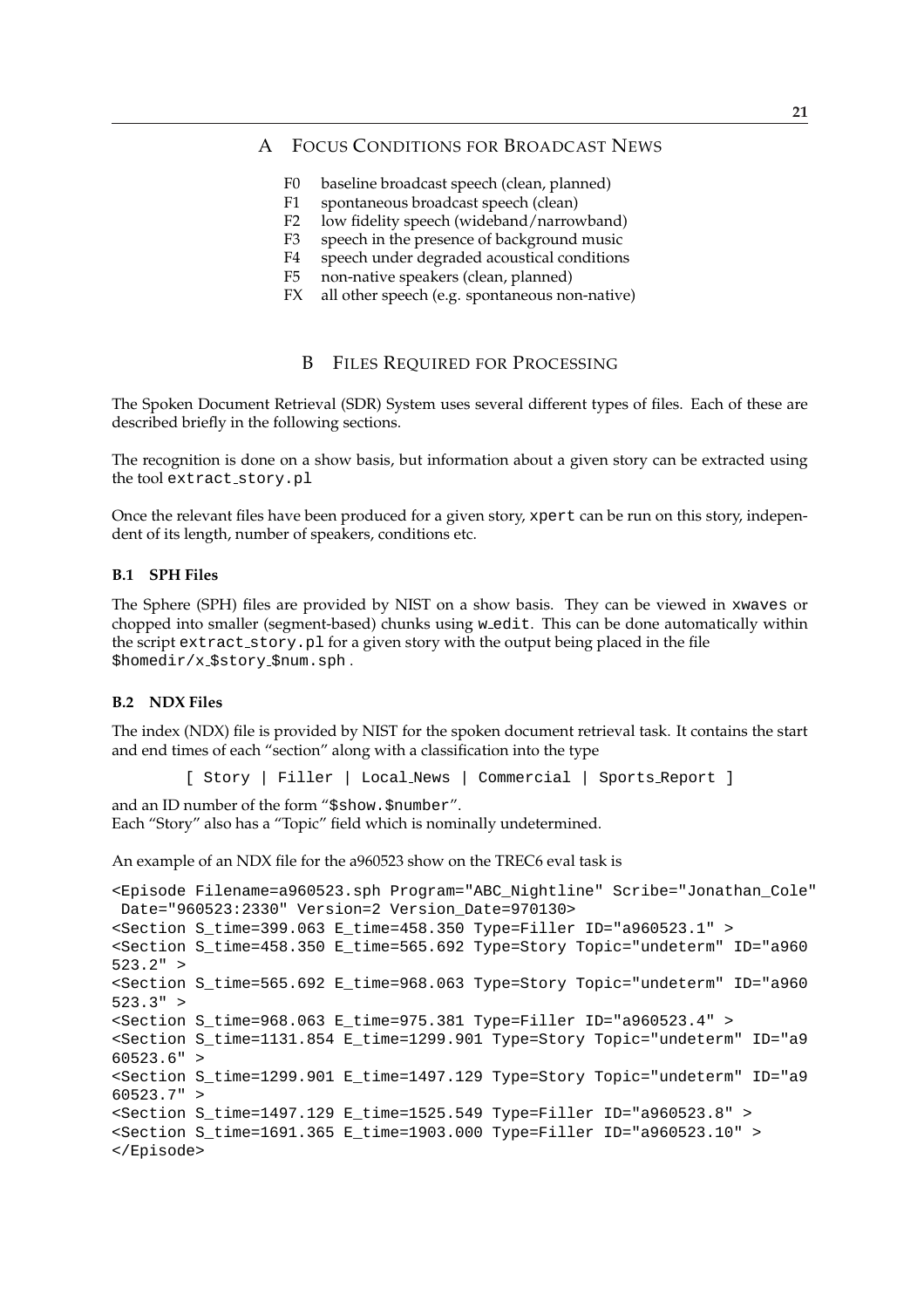## <span id="page-24-0"></span>A FOCUS CONDITIONS FOR BROADCAST NEWS

- F0 baseline broadcast speech (clean, planned)
- F1 spontaneous broadcast speech (clean)
- F2 low fidelity speech (wideband/narrowband)
- F3 speech in the presence of background music
- F4 speech under degraded acoustical conditions
- F5 non-native speakers (clean, planned)
- FX all other speech (e.g. spontaneous non-native)

## B FILES REQUIRED FOR PROCESSING

The Spoken Document Retrieval (SDR) System uses several different types of files. Each of these are described briefly in the following sections.

The recognition is done on a show basis, but information about a given story can be extracted using the tool extract story.pl

Once the relevant files have been produced for a given story, xpert can be run on this story, independent of its length, number of speakers, conditions etc.

#### **B.1 SPH Files**

The Sphere (SPH) files are provided by NIST on a show basis. They can be viewed in xwaves or chopped into smaller (segment-based) chunks using w\_edit. This can be done automatically within the script extract story.pl for a given story with the output being placed in the file \$homedir/x \$story \$num.sph .

#### **B.2 NDX Files**

The index (NDX) file is provided by NIST for the spoken document retrieval task. It contains the start and end times of each "section" along with a classification into the type

```
[ Story | Filler | Local News | Commercial | Sports Report ]
```
and an ID number of the form "\$show.\$number". Each "Story" also has a "Topic" field which is nominally undetermined.

An example of an NDX file for the a960523 show on the TREC6 eval task is

```
<Episode Filename=a960523.sph Program="ABC_Nightline" Scribe="Jonathan_Cole"
Date="960523:2330" Version=2 Version_Date=970130>
s < Section S time=399.063 E time=458.350 Type=Filler ID="a960523.1" >
<Section S_time=458.350 E_time=565.692 Type=Story Topic="undeterm" ID="a960
523.2" >
<Section S_time=565.692 E_time=968.063 Type=Story Topic="undeterm" ID="a960
523.3" >
<Section S_time=968.063 E_time=975.381 Type=Filler ID="a960523.4" >
<Section S_time=1131.854 E_time=1299.901 Type=Story Topic="undeterm" ID="a9
60523.6" >
<Section S_time=1299.901 E_time=1497.129 Type=Story Topic="undeterm" ID="a9
60523.7" >
<Section S_time=1497.129 E_time=1525.549 Type=Filler ID="a960523.8" >
<Section S_time=1691.365 E_time=1903.000 Type=Filler ID="a960523.10" >
</Episode>
```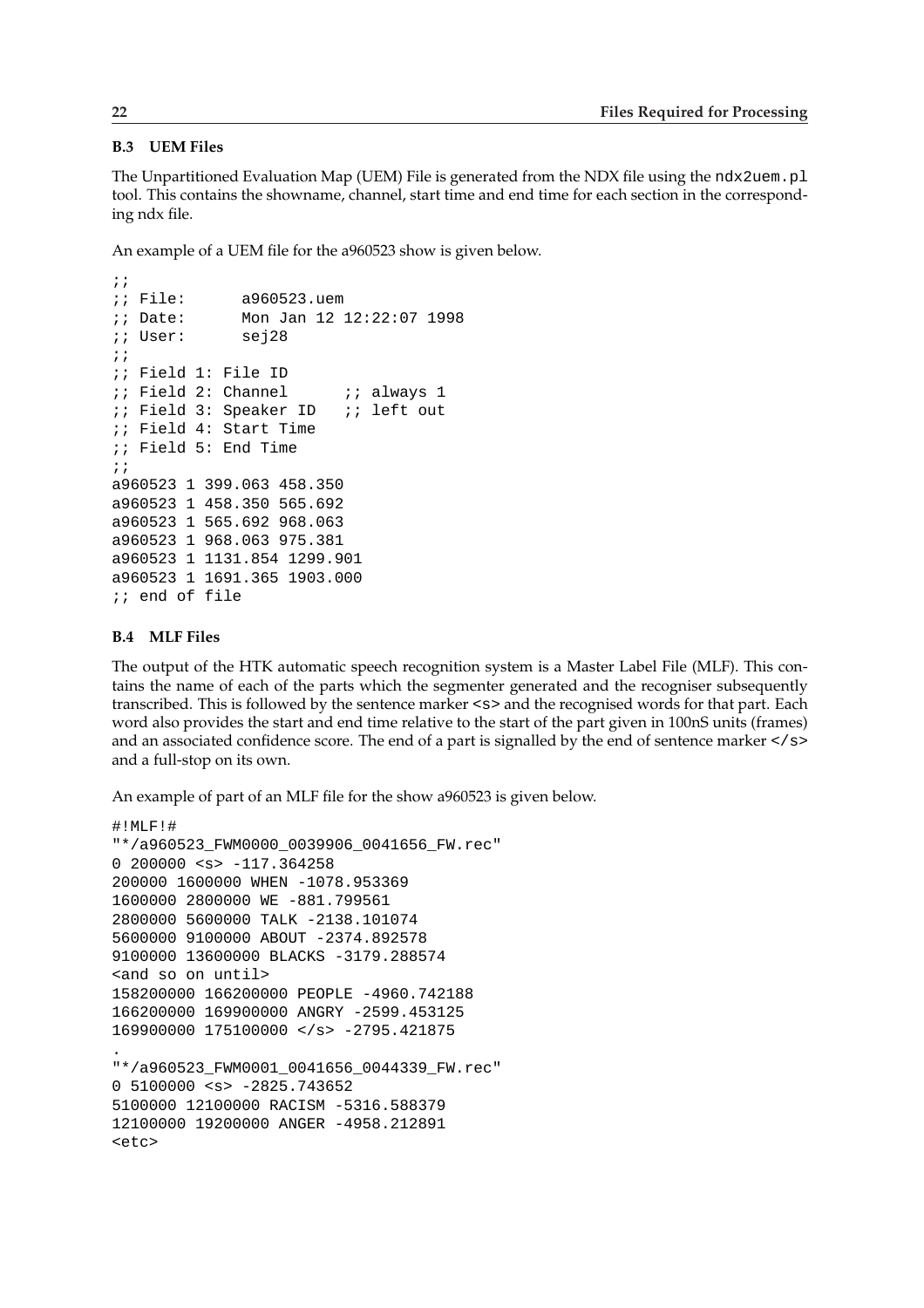### <span id="page-25-0"></span>**B.3 UEM Files**

The Unpartitioned Evaluation Map (UEM) File is generated from the NDX file using the ndx2uem.pl tool. This contains the showname, channel, start time and end time for each section in the corresponding ndx file.

An example of a UEM file for the a960523 show is given below.

```
;; File: a960523.uem
;; Date: Mon Jan 12 12:22:07 1998
;; User: sej28
;;
;; Field 1: File ID
i: Field 2: Channel i: always 1
;; Field 3: Speaker ID ;; left out
;; Field 4: Start Time
;; Field 5: End Time
;;
a960523 1 399.063 458.350
a960523 1 458.350 565.692
a960523 1 565.692 968.063
a960523 1 968.063 975.381
a960523 1 1131.854 1299.901
a960523 1 1691.365 1903.000
;; end of file
```
### **B.4 MLF Files**

The output of the HTK automatic speech recognition system is a Master Label File (MLF). This contains the name of each of the parts which the segmenter generated and the recogniser subsequently transcribed. This is followed by the sentence marker <s> and the recognised words for that part. Each word also provides the start and end time relative to the start of the part given in 100nS units (frames) and an associated confidence score. The end of a part is signalled by the end of sentence marker </s> and a full-stop on its own.

An example of part of an MLF file for the show a960523 is given below.

```
#!MLF!#
"*/a960523_FWM0000_0039906_0041656_FW.rec"
0 200000 \langle s \rangle -117.364258
200000 1600000 WHEN -1078.953369
1600000 2800000 WE -881.799561
2800000 5600000 TALK -2138.101074
5600000 9100000 ABOUT -2374.892578
9100000 13600000 BLACKS -3179.288574
<and so on until>
158200000 166200000 PEOPLE -4960.742188
166200000 169900000 ANGRY -2599.453125
169900000 175100000 </s> -2795.421875
.
"*/a960523_FWM0001_0041656_0044339_FW.rec"
0 5100000 <s> -2825.743652
5100000 12100000 RACISM -5316.588379
12100000 19200000 ANGER -4958.212891
<etc>
```
;;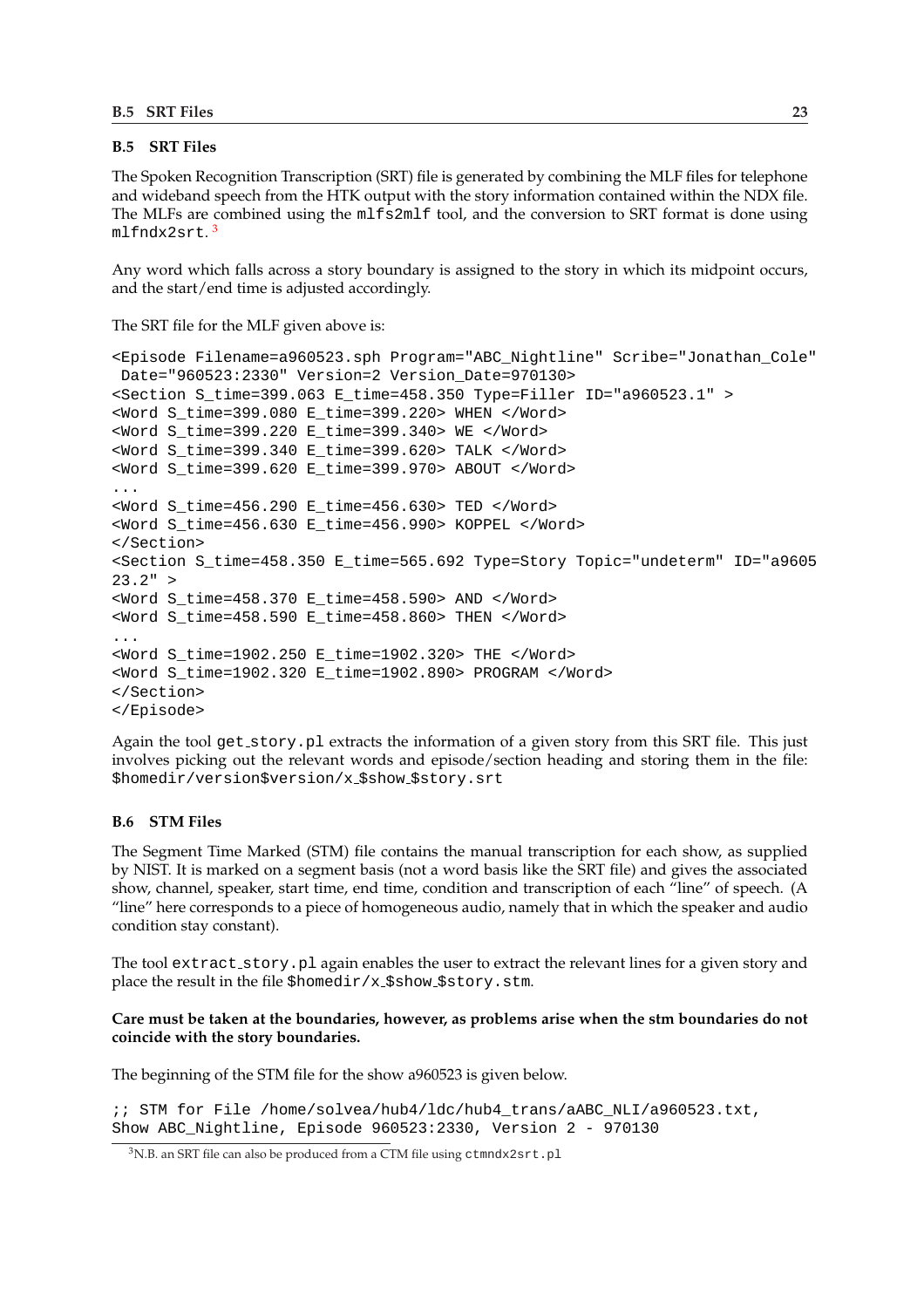### <span id="page-26-0"></span>**B.5 SRT Files**

The Spoken Recognition Transcription (SRT) file is generated by combining the MLF files for telephone and wideband speech from the HTK output with the story information contained within the NDX file. The MLFs are combined using the mlfs2mlf tool, and the conversion to SRT format is done using mlfndx2srt.<sup>3</sup>

Any word which falls across a story boundary is assigned to the story in which its midpoint occurs, and the start/end time is adjusted accordingly.

The SRT file for the MLF given above is:

```
<Episode Filename=a960523.sph Program="ABC_Nightline" Scribe="Jonathan_Cole"
Date="960523:2330" Version=2 Version_Date=970130>
<Section S_time=399.063 E_time=458.350 Type=Filler ID="a960523.1" >
<Word S_time=399.080 E_time=399.220> WHEN </Word>
<Word S_time=399.220 E_time=399.340> WE </Word>
<Word S_time=399.340 E_time=399.620> TALK </Word>
<Word S_time=399.620 E_time=399.970> ABOUT </Word>
...
<Word S_time=456.290 E_time=456.630> TED </Word>
<Word S_time=456.630 E_time=456.990> KOPPEL </Word>
</Section>
<Section S_time=458.350 E_time=565.692 Type=Story Topic="undeterm" ID="a9605
23.2" ><Word S_time=458.370 E_time=458.590> AND </Word>
<Word S_time=458.590 E_time=458.860> THEN </Word>
...
<Word S_time=1902.250 E_time=1902.320> THE </Word>
<Word S_time=1902.320 E_time=1902.890> PROGRAM </Word>
</Section>
</Episode>
```
Again the tool get story.pl extracts the information of a given story from this SRT file. This just involves picking out the relevant words and episode/section heading and storing them in the file: \$homedir/version\$version/x \$show \$story.srt

### **B.6 STM Files**

The Segment Time Marked (STM) file contains the manual transcription for each show, as supplied by NIST. It is marked on a segment basis (not a word basis like the SRT file) and gives the associated show, channel, speaker, start time, end time, condition and transcription of each "line" of speech. (A "line" here corresponds to a piece of homogeneous audio, namely that in which the speaker and audio condition stay constant).

The tool extract story. pl again enables the user to extract the relevant lines for a given story and place the result in the file  $\frac{1}{2}$  homedir/x\_\$show\_\$story.stm.

### **Care must be taken at the boundaries, however, as problems arise when the stm boundaries do not coincide with the story boundaries.**

The beginning of the STM file for the show a960523 is given below.

;; STM for File /home/solvea/hub4/ldc/hub4\_trans/aABC\_NLI/a960523.txt, Show ABC\_Nightline, Episode 960523:2330, Version 2 - 970130

<sup>&</sup>lt;sup>3</sup>N.B. an SRT file can also be produced from a CTM file using ctmndx2srt.pl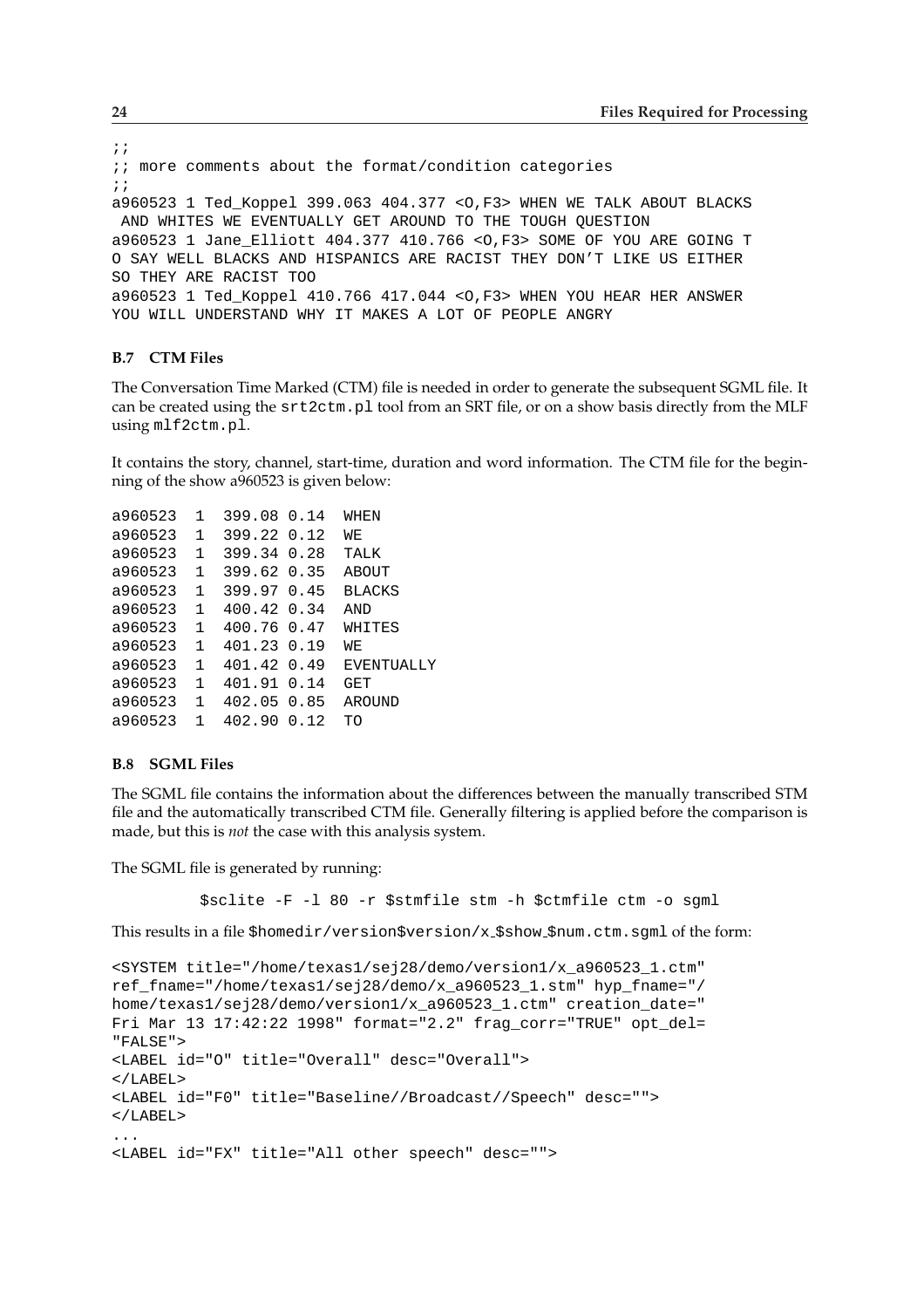```
;;
;; more comments about the format/condition categories
;;
a960523 1 Ted_Koppel 399.063 404.377 <O,F3> WHEN WE TALK ABOUT BLACKS
AND WHITES WE EVENTUALLY GET AROUND TO THE TOUGH QUESTION
a960523 1 Jane_Elliott 404.377 410.766 <O,F3> SOME OF YOU ARE GOING T
O SAY WELL BLACKS AND HISPANICS ARE RACIST THEY DON'T LIKE US EITHER
SO THEY ARE RACIST TOO
a960523 1 Ted_Koppel 410.766 417.044 <O,F3> WHEN YOU HEAR HER ANSWER
YOU WILL UNDERSTAND WHY IT MAKES A LOT OF PEOPLE ANGRY
```
#### **B.7 CTM Files**

The Conversation Time Marked (CTM) file is needed in order to generate the subsequent SGML file. It can be created using the srt2ctm.pl tool from an SRT file, or on a show basis directly from the MLF using mlf2ctm.pl.

It contains the story, channel, start-time, duration and word information. The CTM file for the beginning of the show a960523 is given below:

| a960523               | 1            | 399.08 0.14   | WHEN          |
|-----------------------|--------------|---------------|---------------|
| a960523 1             |              | 399.22 0.12   | WЕ            |
| a960523               | $\mathbf{1}$ | 399.34 0.28   | TALK          |
| a960523 1 399.62 0.35 |              |               | <b>ABOUT</b>  |
| a960523 1             |              | 399.97 0.45   | <b>BLACKS</b> |
| a960523 1             |              | 400.42 0.34   | AND           |
| a960523               | $\mathbf{1}$ | 400.76 0.47   | WHITES        |
| a960523               | $\mathbf{1}$ | 401.23 0.19   | WЕ            |
| a960523               | $\mathbf{1}$ | 401.42 0.49   | EVENTUALLY    |
| a960523               |              | 1 401.91 0.14 | GET           |
| a960523 1             |              | 402.05 0.85   | AROUND        |
| a960523               | $\mathbf{1}$ | 402.90 0.12   | TO            |

#### **B.8 SGML Files**

The SGML file contains the information about the differences between the manually transcribed STM file and the automatically transcribed CTM file. Generally filtering is applied before the comparison is made, but this is *not* the case with this analysis system.

The SGML file is generated by running:

\$sclite -F -l 80 -r \$stmfile stm -h \$ctmfile ctm -o sgml

This results in a file \$homedir/version\$version/x \$show \$num.ctm.sgml of the form:

```
<SYSTEM title="/home/texas1/sej28/demo/version1/x_a960523_1.ctm"
ref_fname="/home/texas1/sej28/demo/x_a960523_1.stm" hyp_fname="/
home/texas1/sej28/demo/version1/x_a960523_1.ctm" creation_date="
Fri Mar 13 17:42:22 1998" format="2.2" frag_corr="TRUE" opt_del=
"FALSE">
<LABEL id="O" title="Overall" desc="Overall">
</LABEL>
<LABEL id="F0" title="Baseline//Broadcast//Speech" desc="">
</LABEL>
...
<LABEL id="FX" title="All other speech" desc="">
```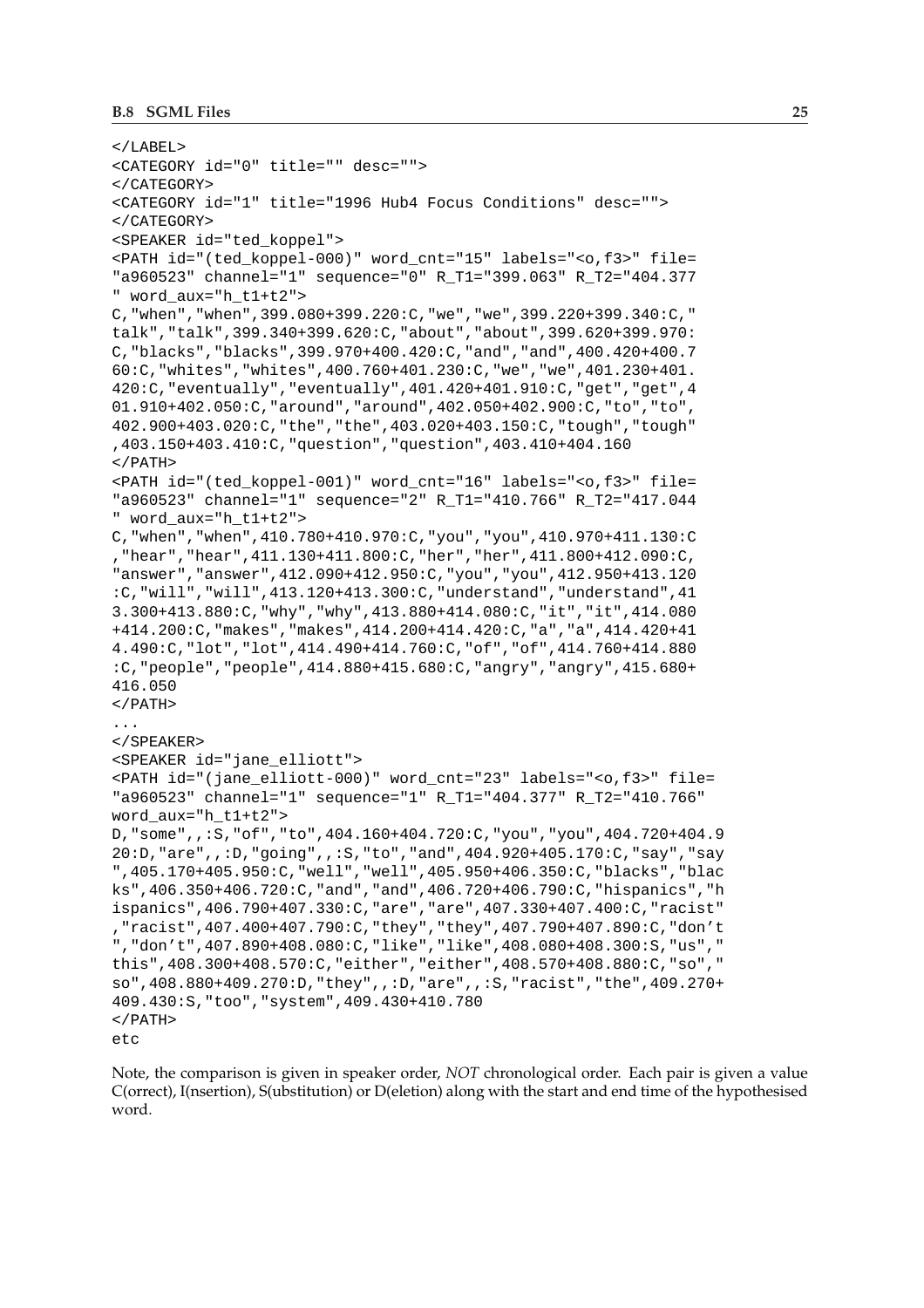```
</LABEL>
<CATEGORY id="0" title="" desc="">
</CATEGORY>
<CATEGORY id="1" title="1996 Hub4 Focus Conditions" desc="">
</CATEGORY>
<SPEAKER id="ted_koppel">
<PATH id="(ted_koppel-000)" word_cnt="15" labels="<o,f3>" file=
"a960523" channel="1" sequence="0" R_T1="399.063" R_T2="404.377
" word_aux="h_t1+t2">
C,"when","when",399.080+399.220:C,"we","we",399.220+399.340:C,"
talk","talk",399.340+399.620:C,"about","about",399.620+399.970:
C,"blacks","blacks",399.970+400.420:C,"and","and",400.420+400.7
60:C,"whites","whites",400.760+401.230:C,"we","we",401.230+401.
420:C,"eventually","eventually",401.420+401.910:C,"get","get",4
01.910+402.050:C,"around","around",402.050+402.900:C,"to","to",
402.900+403.020:C,"the","the",403.020+403.150:C,"tough","tough"
,403.150+403.410:C,"question","question",403.410+404.160
</PATH>
<PATH id="(ted_koppel-001)" word_cnt="16" labels="<o,f3>" file=
"a960523" channel="1" sequence="2" R_T1="410.766" R_T2="417.044
" word_aux="h_t1+t2">
C,"when","when",410.780+410.970:C,"you","you",410.970+411.130:C
,"hear","hear",411.130+411.800:C,"her","her",411.800+412.090:C,
"answer","answer",412.090+412.950:C,"you","you",412.950+413.120
:C,"will","will",413.120+413.300:C,"understand","understand",41
3.300+413.880:C,"why","why",413.880+414.080:C,"it","it",414.080
+414.200:C,"makes","makes",414.200+414.420:C,"a","a",414.420+41
4.490:C,"lot","lot",414.490+414.760:C,"of","of",414.760+414.880
:C,"people","people",414.880+415.680:C,"angry","angry",415.680+
416.050
</PATH>...
</SPEAKER>
<SPEAKER id="jane_elliott">
<PATH id="(jane_elliott-000)" word_cnt="23" labels="<o,f3>" file=
"a960523" channel="1" sequence="1" R_T1="404.377" R_T2="410.766"
word_aux="h_t1+t2">
D,"some",,:S,"of","to",404.160+404.720:C,"you","you",404.720+404.9
20:D,"are",,:D,"going",,:S,"to","and",404.920+405.170:C,"say","say
",405.170+405.950:C,"well","well",405.950+406.350:C,"blacks","blac
ks",406.350+406.720:C,"and","and",406.720+406.790:C,"hispanics","h
ispanics",406.790+407.330:C,"are","are",407.330+407.400:C,"racist"
,"racist",407.400+407.790:C,"they","they",407.790+407.890:C,"don't
","don't",407.890+408.080:C,"like","like",408.080+408.300:S,"us","
this",408.300+408.570:C,"either","either",408.570+408.880:C,"so","
so",408.880+409.270:D,"they",,:D,"are",,:S,"racist","the",409.270+
409.430:S,"too","system",409.430+410.780
</PATH>
etc
```
Note, the comparison is given in speaker order, *NOT* chronological order. Each pair is given a value C(orrect), I(nsertion), S(ubstitution) or D(eletion) along with the start and end time of the hypothesised word.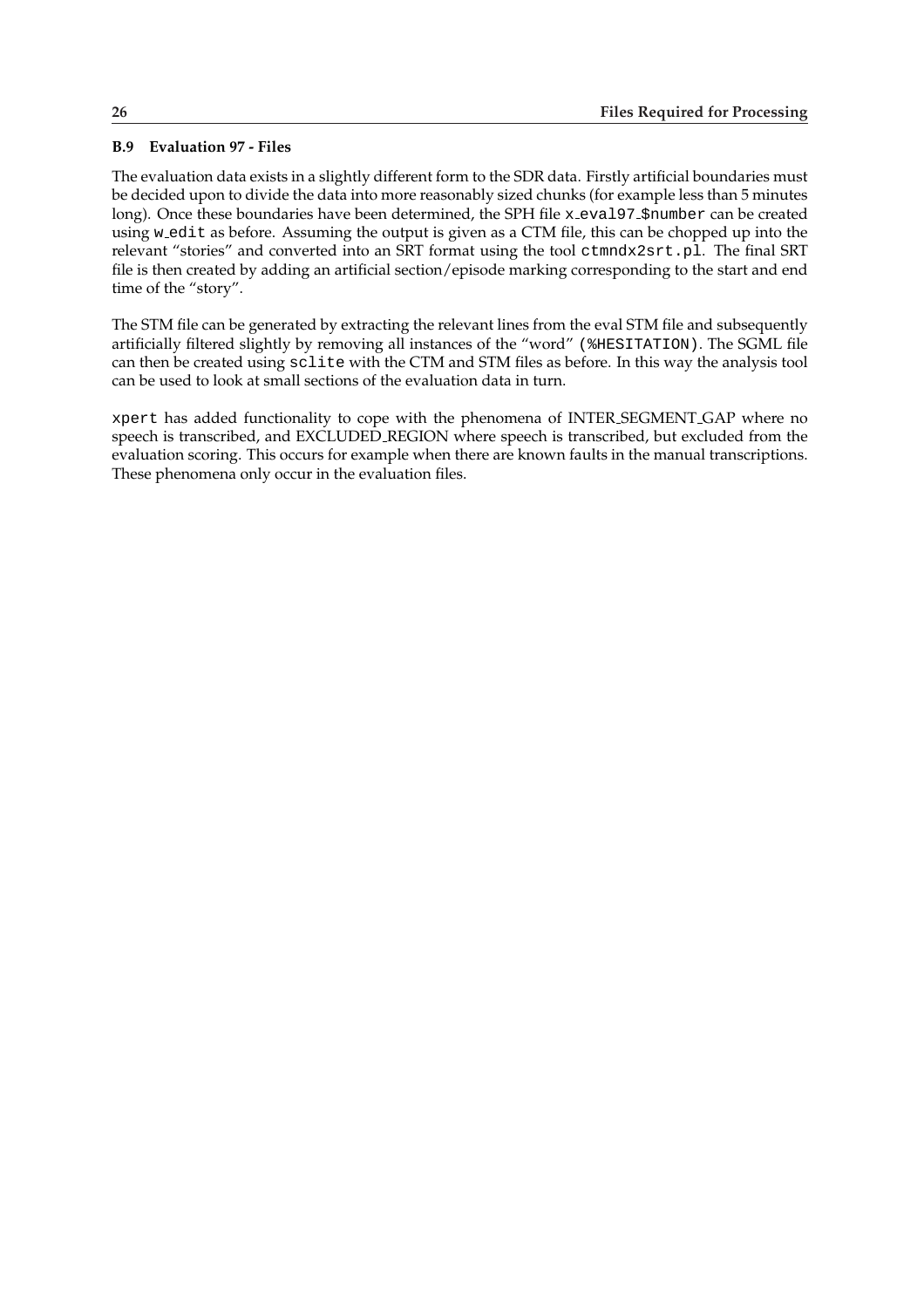## <span id="page-29-0"></span>**B.9 Evaluation 97 - Files**

The evaluation data exists in a slightly different form to the SDR data. Firstly artificial boundaries must be decided upon to divide the data into more reasonably sized chunks (for example less than 5 minutes long). Once these boundaries have been determined, the SPH file x\_eva197\_\$number can be created using w edit as before. Assuming the output is given as a CTM file, this can be chopped up into the relevant "stories" and converted into an SRT format using the tool ctmndx2srt.pl. The final SRT file is then created by adding an artificial section/episode marking corresponding to the start and end time of the "story".

The STM file can be generated by extracting the relevant lines from the eval STM file and subsequently artificially filtered slightly by removing all instances of the "word" (%HESITATION). The SGML file can then be created using sclite with the CTM and STM files as before. In this way the analysis tool can be used to look at small sections of the evaluation data in turn.

xpert has added functionality to cope with the phenomena of INTER SEGMENT GAP where no speech is transcribed, and EXCLUDED REGION where speech is transcribed, but excluded from the evaluation scoring. This occurs for example when there are known faults in the manual transcriptions. These phenomena only occur in the evaluation files.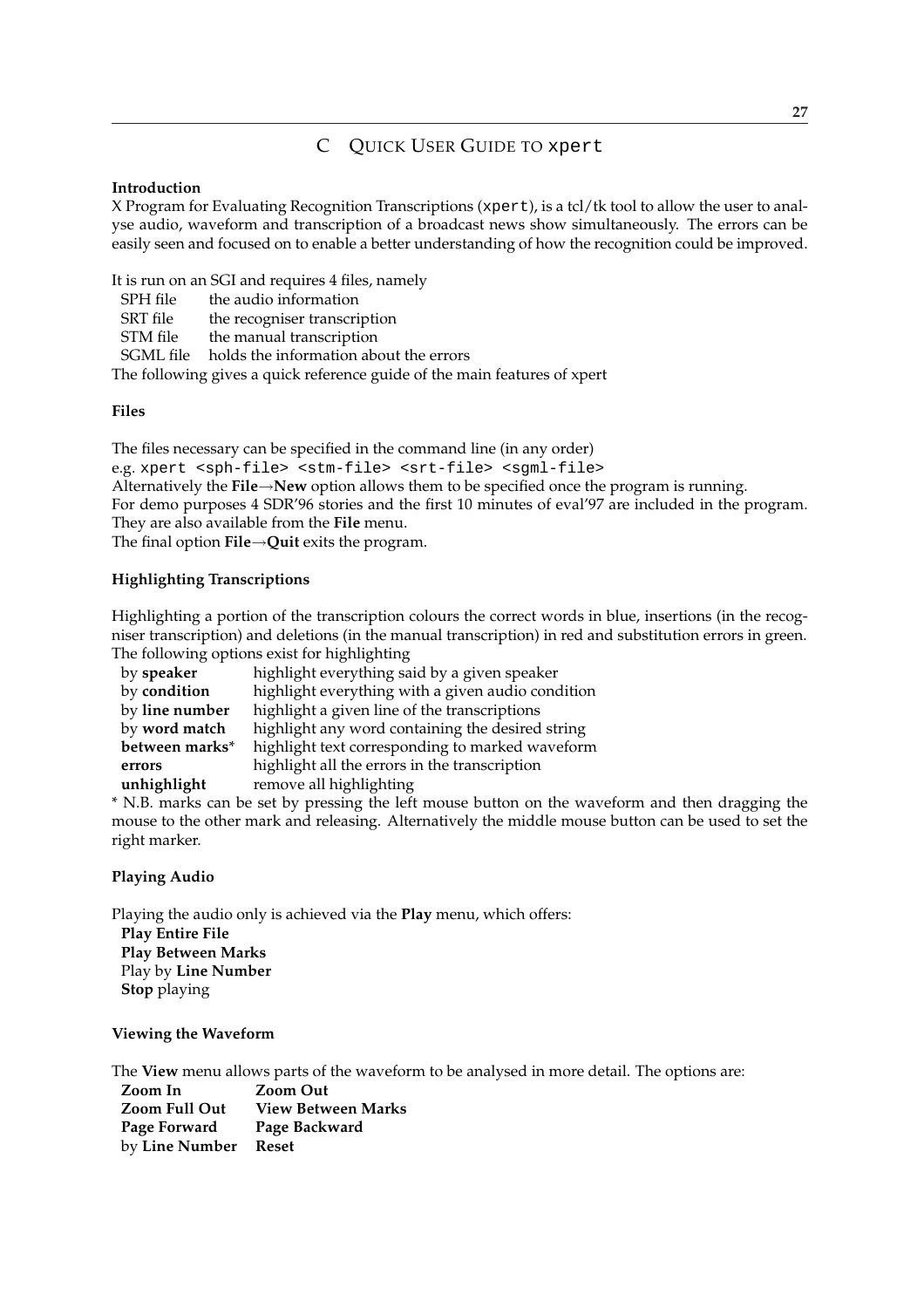# C QUICK USER GUIDE TO xpert

## **Introduction**

X Program for Evaluating Recognition Transcriptions (xpert), is a tcl/tk tool to allow the user to analyse audio, waveform and transcription of a broadcast news show simultaneously. The errors can be easily seen and focused on to enable a better understanding of how the recognition could be improved.

It is run on an SGI and requires 4 files, namely

SPH file the audio information

SRT file the recogniser transcription

STM file the manual transcription

SGML file holds the information about the errors

The following gives a quick reference guide of the main features of xpert

## **Files**

The files necessary can be specified in the command line (in any order) e.g. xpert <sph-file> <stm-file> <srt-file> <sgml-file> Alternatively the **File**→**New** option allows them to be specified once the program is running. For demo purposes 4 SDR'96 stories and the first 10 minutes of eval'97 are included in the program. They are also available from the **File** menu. The final option **File**→**Quit** exits the program.

## **Highlighting Transcriptions**

Highlighting a portion of the transcription colours the correct words in blue, insertions (in the recogniser transcription) and deletions (in the manual transcription) in red and substitution errors in green. The following options exist for highlighting

| by speaker     | highlight everything said by a given speaker      |
|----------------|---------------------------------------------------|
| by condition   | highlight everything with a given audio condition |
| by line number | highlight a given line of the transcriptions      |
| by word match  | highlight any word containing the desired string  |
| between marks* | highlight text corresponding to marked waveform   |
| errors         | highlight all the errors in the transcription     |
| unhighlight    | remove all highlighting                           |

\* N.B. marks can be set by pressing the left mouse button on the waveform and then dragging the mouse to the other mark and releasing. Alternatively the middle mouse button can be used to set the right marker.

## **Playing Audio**

Playing the audio only is achieved via the **Play** menu, which offers: **Play Entire File Play Between Marks** Play by **Line Number Stop** playing

### **Viewing the Waveform**

The **View** menu allows parts of the waveform to be analysed in more detail. The options are:

**Zoom In Zoom Out Zoom Full Out View Between Marks Page Forward Page Backward** by **Line Number Reset**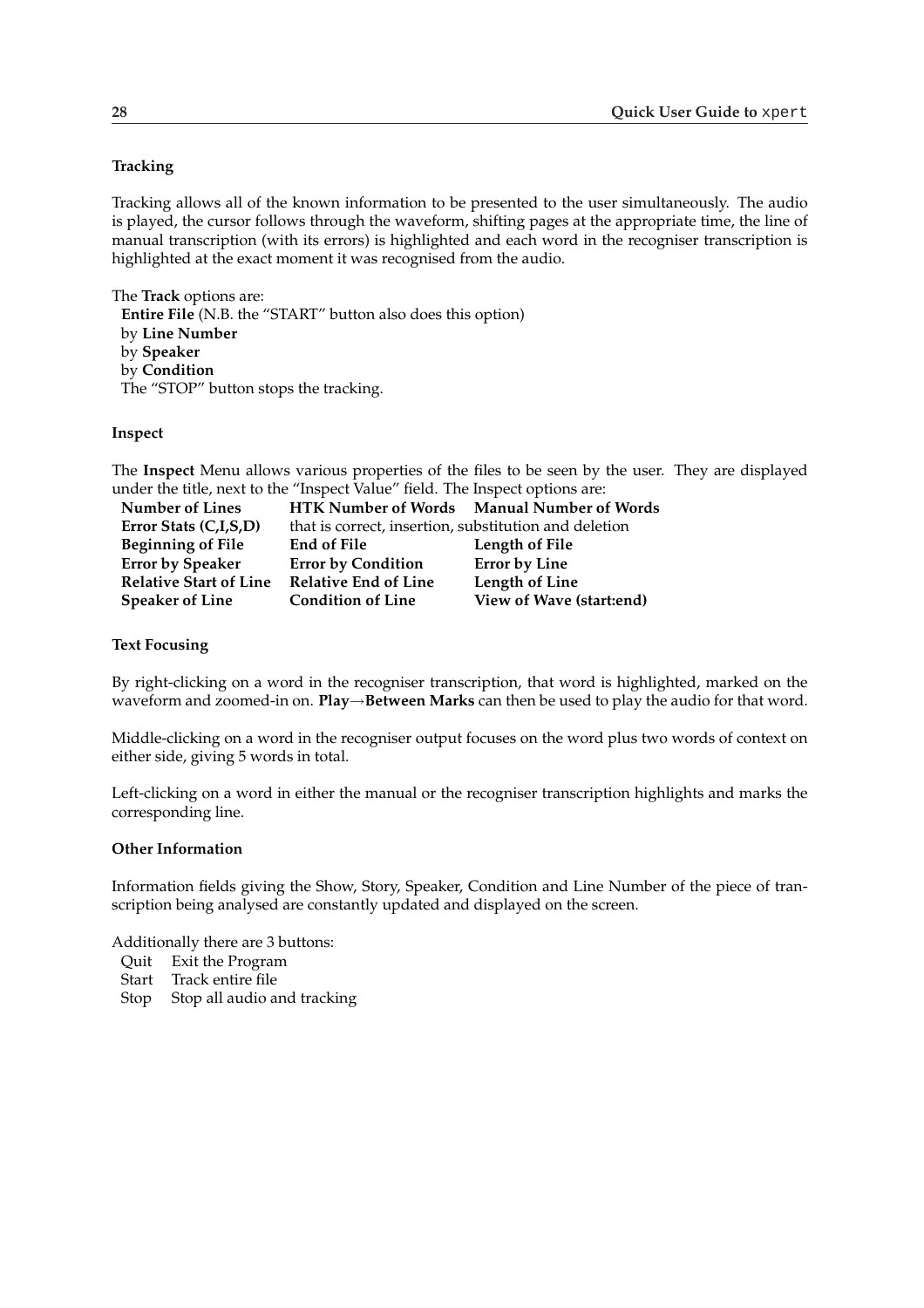### **Tracking**

Tracking allows all of the known information to be presented to the user simultaneously. The audio is played, the cursor follows through the waveform, shifting pages at the appropriate time, the line of manual transcription (with its errors) is highlighted and each word in the recogniser transcription is highlighted at the exact moment it was recognised from the audio.

The **Track** options are: **Entire File** (N.B. the "START" button also does this option) by **Line Number** by **Speaker** by **Condition** The "STOP" button stops the tracking.

### **Inspect**

The **Inspect** Menu allows various properties of the files to be seen by the user. They are displayed under the title, next to the "Inspect Value" field. The Inspect options are:

| <b>Number of Lines</b>        |                                                       | HTK Number of Words Manual Number of Words |
|-------------------------------|-------------------------------------------------------|--------------------------------------------|
| Error Stats (C,I,S,D)         | that is correct, insertion, substitution and deletion |                                            |
| <b>Beginning of File</b>      | End of File                                           | Length of File                             |
| <b>Error by Speaker</b>       | <b>Error by Condition</b>                             | <b>Error by Line</b>                       |
| <b>Relative Start of Line</b> | <b>Relative End of Line</b>                           | Length of Line                             |
| <b>Speaker of Line</b>        | <b>Condition of Line</b>                              | View of Wave (start:end)                   |

#### **Text Focusing**

By right-clicking on a word in the recogniser transcription, that word is highlighted, marked on the waveform and zoomed-in on. **Play**→**Between Marks** can then be used to play the audio for that word.

Middle-clicking on a word in the recogniser output focuses on the word plus two words of context on either side, giving 5 words in total.

Left-clicking on a word in either the manual or the recogniser transcription highlights and marks the corresponding line.

#### **Other Information**

Information fields giving the Show, Story, Speaker, Condition and Line Number of the piece of transcription being analysed are constantly updated and displayed on the screen.

Additionally there are 3 buttons:

- Quit Exit the Program
- Start Track entire file
- Stop Stop all audio and tracking